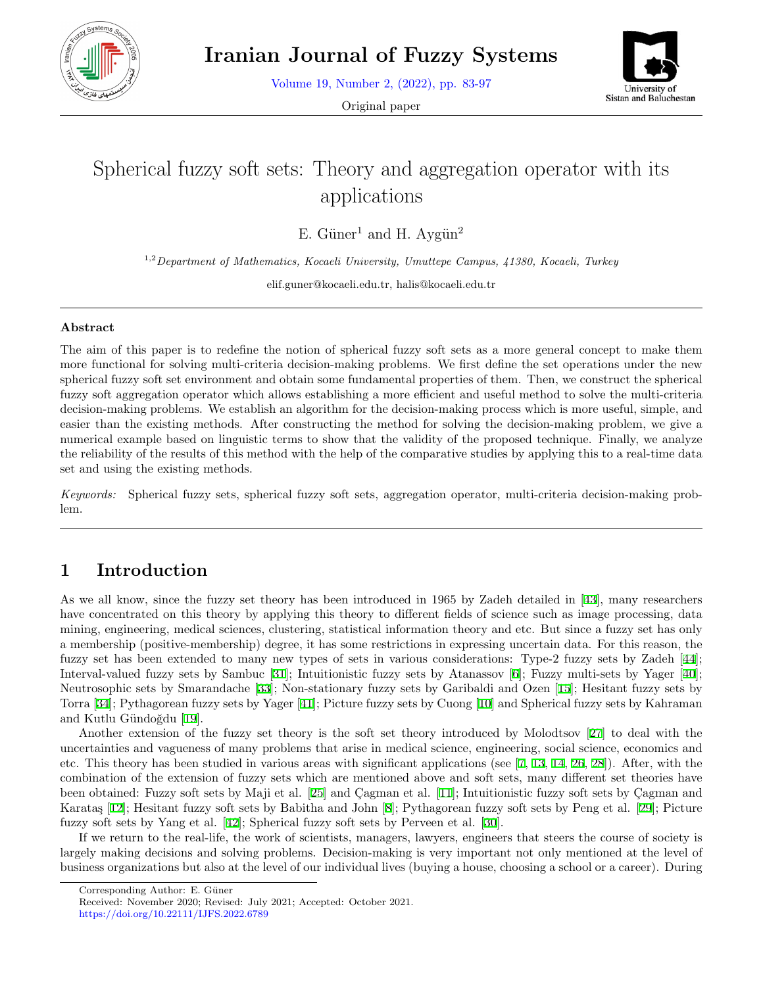

Volume 19, Number 2, (2022), pp. 83-97

Original paper



# Spherical fuzzy soft sets: Theory and aggregation operator with its applications

E. Güner<sup>1</sup> and H. Aygün<sup>2</sup>

1,2*Department of Mathematics, Kocaeli University, Umuttepe Campus, 41380, Kocaeli, Turkey*

elif.guner@kocaeli.edu.tr, halis@kocaeli.edu.tr

#### **Abstract**

The aim of this paper is to redefine the notion of spherical fuzzy soft sets as a more general concept to make them more functional for solving multi-criteria decision-making problems. We first define the set operations under the new spherical fuzzy soft set environment and obtain some fundamental properties of them. Then, we construct the spherical fuzzy soft aggregation operator which allows establishing a more efficient and useful method to solve the multi-criteria decision-making problems. We establish an algorithm for the decision-making process which is more useful, simple, and easier than the existing methods. After constructing the method for solving the decision-making problem, we give a numerical example based on linguistic terms to show that the validity of the proposed technique. Finally, we analyze the reliability of the results of this method with the help of the comparative studies by applying this to a real-time data set and using the existing methods.

*Keywords:* Spherical fuzzy sets, spherical fuzzy soft sets, aggregation operator, multi-criteria decision-making problem.

# **1 Introduction**

As we all know, since the fuzzy set theory has been introduced in 1965 by Zadeh detailed in [[43\]](#page-14-0), many researchers have concentrated on this theory by applying this theory to different fields of science such as image processing, data mining, engineering, medical sciences, clustering, statistical information theory and etc. But since a fuzzy set has only a membership (positive-membership) degree, it has some restrictions in expressing uncertain data. For this reason, the fuzzy set has been extended to many new types of sets in various considerations: Type-2 fuzzy sets by Zadeh [[44](#page-14-1)]; Interval-valued fuzzy sets by Sambuc [[31](#page-14-2)]; Intuitionistic fuzzy sets by Atanassov [\[6](#page-13-0)]; Fuzzy multi-sets by Yager [\[40](#page-14-3)]; Neutrosophic sets by Smarandache [[33](#page-14-4)]; Non-stationary fuzzy sets by Garibaldi and Ozen [[15\]](#page-13-1); Hesitant fuzzy sets by Torra [[34\]](#page-14-5); Pythagorean fuzzy sets by Yager [\[41](#page-14-6)]; Picture fuzzy sets by Cuong [\[10](#page-13-2)] and Spherical fuzzy sets by Kahraman and Kutlu Gündoğdu [[19\]](#page-13-3).

Another extension of the fuzzy set theory is the soft set theory introduced by Molodtsov [[27](#page-14-7)] to deal with the uncertainties and vagueness of many problems that arise in medical science, engineering, social science, economics and etc. This theory has been studied in various areas with significant applications (see  $[7, 13, 14, 26, 28]$  $[7, 13, 14, 26, 28]$  $[7, 13, 14, 26, 28]$  $[7, 13, 14, 26, 28]$  $[7, 13, 14, 26, 28]$  $[7, 13, 14, 26, 28]$  $[7, 13, 14, 26, 28]$  $[7, 13, 14, 26, 28]$  $[7, 13, 14, 26, 28]$  $[7, 13, 14, 26, 28]$ ). After, with the combination of the extension of fuzzy sets which are mentioned above and soft sets, many different set theories have been obtained: Fuzzy soft sets by Maji et al. [[25\]](#page-14-10) and Cagman et al. [[11\]](#page-13-7); Intuitionistic fuzzy soft sets by Cagman and Karataş [[12\]](#page-13-8); Hesitant fuzzy soft sets by Babitha and John [\[8](#page-13-9)]; Pythagorean fuzzy soft sets by Peng et al. [\[29](#page-14-11)]; Picture fuzzy soft sets by Yang et al. [\[42](#page-14-12)]; Spherical fuzzy soft sets by Perveen et al. [[30\]](#page-14-13).

If we return to the real-life, the work of scientists, managers, lawyers, engineers that steers the course of society is largely making decisions and solving problems. Decision-making is very important not only mentioned at the level of business organizations but also at the level of our individual lives (buying a house, choosing a school or a career). During

Corresponding Author: E. Güner

Received: November 2020; Revised: July 2021; Accepted: October 2021.

https://doi.org/10.22111/IJFS.2022.6789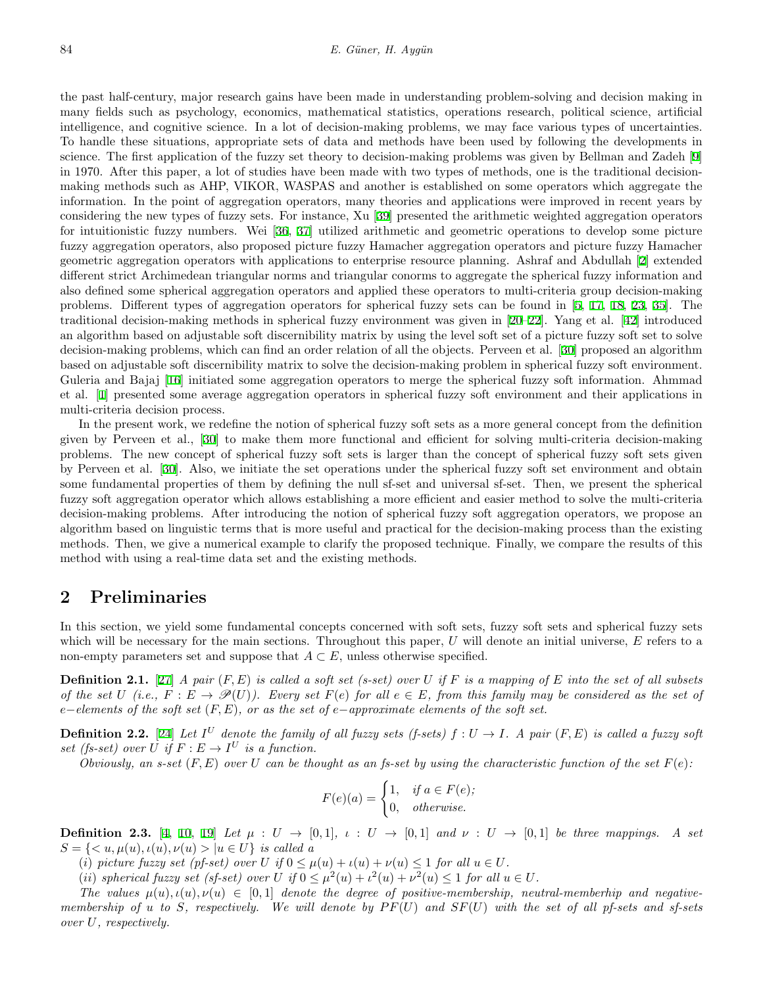the past half-century, major research gains have been made in understanding problem-solving and decision making in many fields such as psychology, economics, mathematical statistics, operations research, political science, artificial intelligence, and cognitive science. In a lot of decision-making problems, we may face various types of uncertainties. To handle these situations, appropriate sets of data and methods have been used by following the developments in science. The first application of the fuzzy set theory to decision-making problems was given by Bellman and Zadeh [[9](#page-13-10)] in 1970. After this paper, a lot of studies have been made with two types of methods, one is the traditional decisionmaking methods such as AHP, VIKOR, WASPAS and another is established on some operators which aggregate the information. In the point of aggregation operators, many theories and applications were improved in recent years by considering the new types of fuzzy sets. For instance, Xu [\[39](#page-14-14)] presented the arithmetic weighted aggregation operators for intuitionistic fuzzy numbers. Wei [\[36](#page-14-15), [37](#page-14-16)] utilized arithmetic and geometric operations to develop some picture fuzzy aggregation operators, also proposed picture fuzzy Hamacher aggregation operators and picture fuzzy Hamacher geometric aggregation operators with applications to enterprise resource planning. Ashraf and Abdullah [\[2](#page-13-11)] extended different strict Archimedean triangular norms and triangular conorms to aggregate the spherical fuzzy information and also defined some spherical aggregation operators and applied these operators to multi-criteria group decision-making problems. Different types of aggregation operators for spherical fuzzy sets can be found in [[5,](#page-13-12) [17](#page-13-13), [18](#page-13-14), [23](#page-14-17), [35](#page-14-18)]. The traditional decision-making methods in spherical fuzzy environment was given in [[20](#page-13-15)[–22](#page-14-19)]. Yang et al. [[42\]](#page-14-12) introduced an algorithm based on adjustable soft discernibility matrix by using the level soft set of a picture fuzzy soft set to solve decision-making problems, which can find an order relation of all the objects. Perveen et al. [[30\]](#page-14-13) proposed an algorithm based on adjustable soft discernibility matrix to solve the decision-making problem in spherical fuzzy soft environment. Guleria and Bajaj [[16\]](#page-13-16) initiated some aggregation operators to merge the spherical fuzzy soft information. Ahmmad et al. [[1\]](#page-13-17) presented some average aggregation operators in spherical fuzzy soft environment and their applications in multi-criteria decision process.

In the present work, we redefine the notion of spherical fuzzy soft sets as a more general concept from the definition given by Perveen et al., [\[30](#page-14-13)] to make them more functional and efficient for solving multi-criteria decision-making problems. The new concept of spherical fuzzy soft sets is larger than the concept of spherical fuzzy soft sets given by Perveen et al. [[30\]](#page-14-13). Also, we initiate the set operations under the spherical fuzzy soft set environment and obtain some fundamental properties of them by defining the null sf-set and universal sf-set. Then, we present the spherical fuzzy soft aggregation operator which allows establishing a more efficient and easier method to solve the multi-criteria decision-making problems. After introducing the notion of spherical fuzzy soft aggregation operators, we propose an algorithm based on linguistic terms that is more useful and practical for the decision-making process than the existing methods. Then, we give a numerical example to clarify the proposed technique. Finally, we compare the results of this method with using a real-time data set and the existing methods.

# **2 Preliminaries**

In this section, we yield some fundamental concepts concerned with soft sets, fuzzy soft sets and spherical fuzzy sets which will be necessary for the main sections. Throughout this paper, *U* will denote an initial universe, *E* refers to a non-empty parameters set and suppose that  $A \subset E$ , unless otherwise specified.

**Definition 2.1.** [\[27](#page-14-7)] *A pair* (*F, E*) *is called a soft set (s-set) over U if F is a mapping of E into the set of all subsets* of the set U (i.e.,  $F: E \to \mathcal{P}(U)$ ). Every set  $F(e)$  for all  $e \in E$ , from this family may be considered as the set of *e−elements of the soft set* (*F, E*)*, or as the set of e−approximate elements of the soft set.*

**Definition 2.2.** [[24\]](#page-14-20) Let  $I^U$  denote the family of all fuzzy sets (f-sets)  $f: U \to I$ . A pair  $(F, E)$  is called a fuzzy soft *set (fs-set) over U if*  $F: E \to I^U$  *is a function.* 

*Obviously, an s-set*  $(F, E)$  *over*  $U$  *can be thought as an fs-set by using the characteristic function of the set*  $F(e)$ :

$$
F(e)(a) = \begin{cases} 1, & \text{if } a \in F(e); \\ 0, & \text{otherwise.} \end{cases}
$$

**Definition 2.3.** [[4](#page-13-18), [10](#page-13-2), [19](#page-13-3)] Let  $\mu : U \rightarrow [0,1], \iota : U \rightarrow [0,1]$  and  $\nu : U \rightarrow [0,1]$  be three mappings. A set  $S = \{ \langle u, \mu(u), \iota(u), \nu(u) \rangle | u \in U \}$  *is called a* 

(*i*) *picture fuzzy set (pf-set) over U if*  $0 \leq \mu(u) + \iota(u) + \nu(u) \leq 1$  *for all*  $u \in U$ *.* 

(*ii*) *spherical fuzzy set (sf-set) over <i>U if*  $0 \leq \mu^2(u) + \iota^2(u) + \nu^2(u) \leq 1$  for all  $u \in U$ .

*The values*  $\mu(u), \iota(u), \nu(u) \in [0,1]$  *denote the degree of positive-membership, neutral-memberhip and negativemembership of u to S, respectively. We will denote by P F*(*U*) *and SF*(*U*) *with the set of all pf-sets and sf-sets over U, respectively.*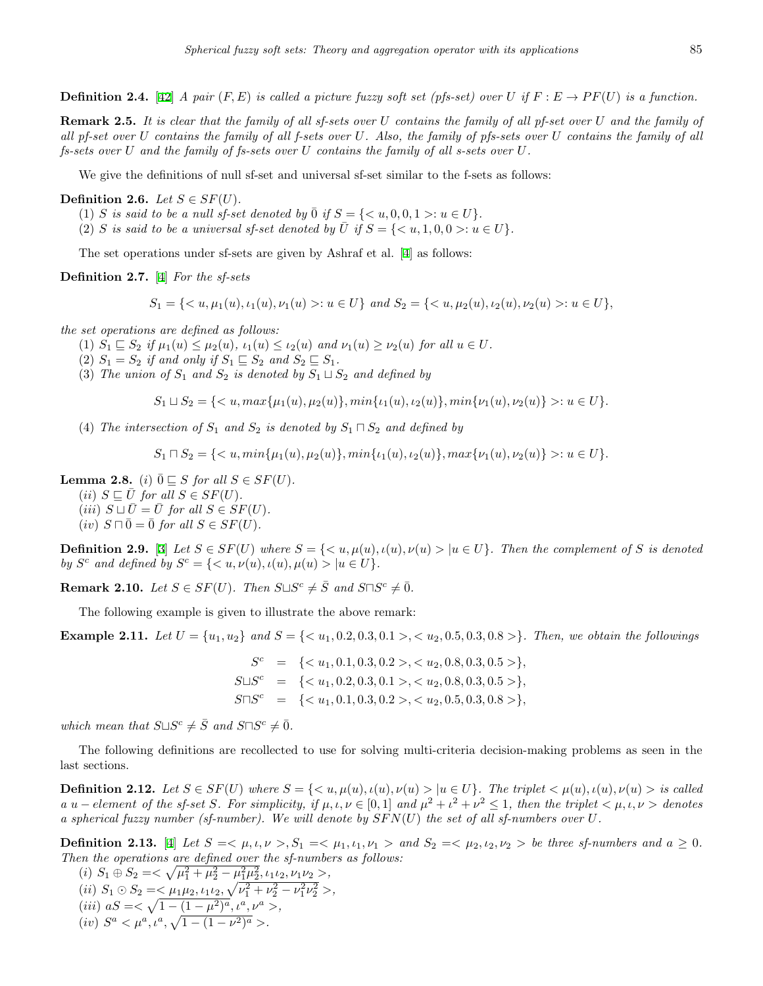**Definition 2.4.** [\[42](#page-14-12)] *A pair*  $(F, E)$  *is called a picture fuzzy soft set (pfs-set) over U if*  $F: E \rightarrow PF(U)$  *is a function.* 

**Remark 2.5.** *It is clear that the family of all sf-sets over U contains the family of all pf-set over U and the family of all pf-set over U contains the family of all f-sets over U. Also, the family of pfs-sets over U contains the family of all fs-sets over U and the family of fs-sets over U contains the family of all s-sets over U.*

We give the definitions of null sf-set and universal sf-set similar to the f-sets as follows:

**Definition 2.6.** *Let*  $S \in SF(U)$ *.* 

- (1) *S is said to be a null sf-set denoted by*  $\overline{0}$  *if*  $S = \{ \langle u, 0, 0, 1 \rangle : u \in U \}.$
- (2) *S* is said to be a universal sf-set denoted by  $\overline{U}$  if  $S = \{ \langle u, 1, 0, 0 \rangle : u \in U \}$ .

The set operations under sf-sets are given by Ashraf et al. [[4\]](#page-13-18) as follows:

**Definition 2.7.** [\[4](#page-13-18)] *For the sf-sets*

 $S_1 = \{ \langle u, \mu_1(u), \iota_1(u), \nu_1(u) \rangle : u \in U \}$  and  $S_2 = \{ \langle u, \mu_2(u), \iota_2(u), \nu_2(u) \rangle : u \in U \}$ ,

*the set operations are defined as follows:*

- (1)  $S_1 \subseteq S_2$  if  $\mu_1(u) \leq \mu_2(u)$ ,  $\iota_1(u) \leq \iota_2(u)$  and  $\nu_1(u) \geq \nu_2(u)$  for all  $u \in U$ .
- (2)  $S_1 = S_2$  *if and only if*  $S_1 \subseteq S_2$  *and*  $S_2 \subseteq S_1$ *.*
- (3) *The union of*  $S_1$  *and*  $S_2$  *is denoted by*  $S_1 \sqcup S_2$  *and defined by*

$$
S_1 \sqcup S_2 = \{ \langle u, \max\{\mu_1(u), \mu_2(u)\}, \min\{\iota_1(u), \iota_2(u)\}, \min\{\nu_1(u), \nu_2(u)\} \rangle : u \in U \}.
$$

(4) *The intersection of*  $S_1$  *and*  $S_2$  *is denoted by*  $S_1 \sqcap S_2$  *and defined by* 

$$
S_1 \sqcap S_2 = \{ \langle u, \min\{\mu_1(u), \mu_2(u)\}, \min\{\iota_1(u), \iota_2(u)\}, \max\{\nu_1(u), \nu_2(u)\} \rangle : u \in U \}.
$$

**Lemma 2.8.** (*i*)  $\overline{0}$   $\subseteq$  *S for all S*  $\in$  *SF*(*U*)*.* 

 $(iii)$   $S \sqsubseteq U$  for all  $S \in SF(U)$ .  $(iii)$   $S \sqcup \overline{U} = \overline{U}$  for all  $S \in SF(U)$ .

 $(iv)$   $S \sqcap \overline{0} = \overline{0}$  *for all*  $S \in SF(U)$ .

**Definition 2.9.** [\[3](#page-13-19)] Let  $S \in SF(U)$  where  $S = \{ \langle u, \mu(u), \iota(u), \nu(u) \rangle | u \in U \}$ . Then the complement of S is denoted *by*  $S^c$  *and defined by*  $S^c = \{ \langle u, v(u), u(u), \mu(u) \rangle | u \in U \}.$ 

**Remark 2.10.** *Let*  $S \in SF(U)$ *. Then*  $S \sqcup S^c \neq \overline{S}$  *and*  $S \sqcap S^c \neq \overline{0}$ *.* 

The following example is given to illustrate the above remark:

**Example 2.11.** Let  $U = \{u_1, u_2\}$  and  $S = \{< u_1, 0.2, 0.3, 0.1, > 0.5, 0.3, 0.8, > 0\}$ . Then, we obtain the followings

 $S<sup>c</sup>$  = {  $\langle u_1, 0.1, 0.3, 0.2 \rangle, \langle u_2, 0.8, 0.3, 0.5 \rangle$ } *S⊔S <sup>c</sup>* = *{< u*1*,* 0*.*2*,* 0*.*3*,* 0*.*1 *>, < u*2*,* 0*.*8*,* 0*.*3*,* 0*.*5 *>}, S⊓S <sup>c</sup>* = *{< u*1*,* 0*.*1*,* 0*.*3*,* 0*.*2 *>, < u*2*,* 0*.*5*,* 0*.*3*,* 0*.*8 *>},*

*which mean that*  $S \sqcup S^c \neq \overline{S}$  *and*  $S \sqcap S^c \neq \overline{0}$ *.* 

The following definitions are recollected to use for solving multi-criteria decision-making problems as seen in the last sections.

**Definition 2.12.** Let  $S \in SF(U)$  where  $S = \{ \langle u, \mu(u), \iota(u), \nu(u) \rangle | u \in U \}$ . The triplet  $\langle \mu(u), \iota(u), \nu(u) \rangle$  is called a u – element of the sf-set S. For simplicity, if  $\mu, \iota, \nu \in [0,1]$  and  $\mu^2 + \iota^2 + \nu^2 \leq 1$ , then the triplet  $\langle \mu, \iota, \nu \rangle$  denotes *a spherical fuzzy number (sf-number). We will denote by SF N*(*U*) *the set of all sf-numbers over U.*

**Definition 2.13.** [\[4](#page-13-18)] Let  $S = \langle \mu, \iota, \nu \rangle, S_1 = \langle \mu_1, \iota_1, \nu_1 \rangle$  and  $S_2 = \langle \mu_2, \iota_2, \nu_2 \rangle$  be three sf-numbers and  $a \ge 0$ . *Then the operations are defined over the sf-numbers as follows:*

 $(i)$   $S_1 \oplus S_2 = \langle \sqrt{\mu_1^2 + \mu_2^2 - \mu_1^2 \mu_2^2}, \iota_1 \iota_2, \nu_1 \nu_2 \rangle$  $(iii)$   $S_1 \odot S_2 = \langle \mu_1 \mu_2, \mu_1 \mu_2, \sqrt{\nu_1^2 + \nu_2^2 - \nu_1^2 \nu_2^2} \rangle$  $(iii)$   $aS = \langle \sqrt{1 - (1 - \mu^2)^a}, \mu^a, \nu^a \rangle$  $(iv)$   $S^a < \mu^a, \iota^a, \sqrt{1 - (1 - \nu^2)^a} >$ .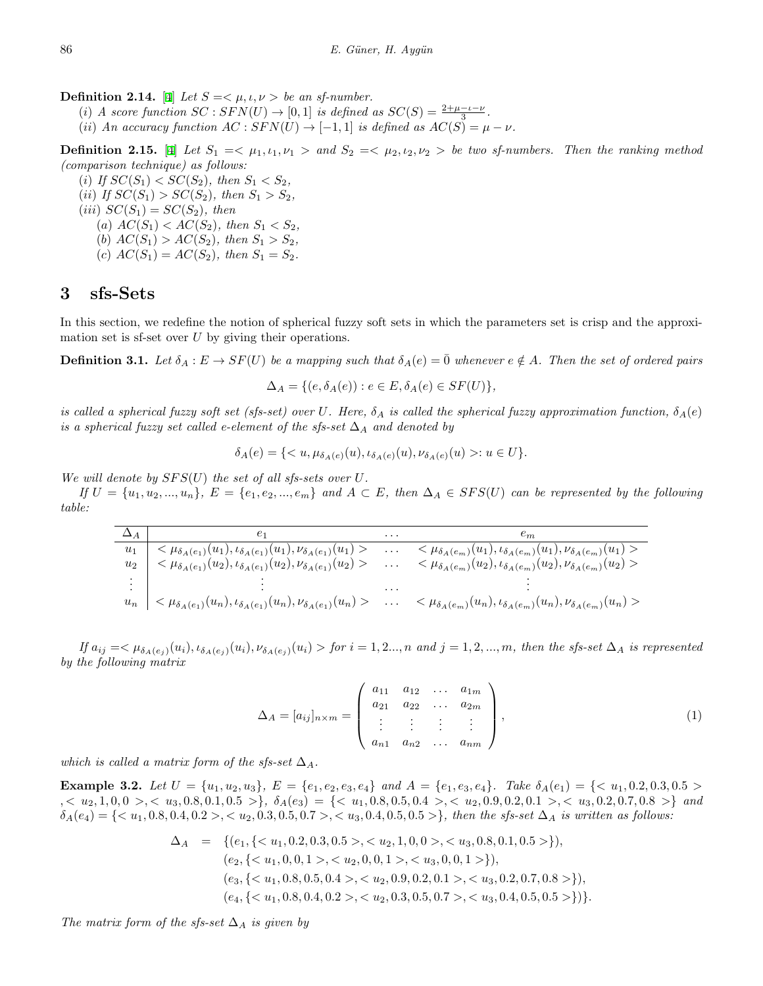**Definition 2.14.** [[4\]](#page-13-18) *Let*  $S = \langle \mu, \iota, \nu \rangle$  *be an sf-number.* 

(*i*) *A score function*  $SC : SFN(U) \rightarrow [0, 1]$  *is defined as*  $SC(S) = \frac{2+\mu-\nu-\nu}{3}$ .

 $(iii)$  *An accuracy function*  $AC : SFN(U) \rightarrow [-1,1]$  *is defined as*  $AC(S) = \mu - \nu$ .

**Definition 2.15.** [[4\]](#page-13-18) Let  $S_1 = \langle \mu_1, \iota_1, \nu_1 \rangle$  and  $S_2 = \langle \mu_2, \iota_2, \nu_2 \rangle$  be two sf-numbers. Then the ranking method *(comparison technique) as follows:*

(*i*) *If*  $SC(S_1) < SC(S_2)$ *, then*  $S_1 < S_2$ *,* (*ii*) *If*  $SC(S_1) > SC(S_2)$ *, then*  $S_1 > S_2$ *,*  $(iii)$   $SC(S_1) = SC(S_2)$ , then (*a*)  $AC(S_1) < AC(S_2)$ *, then*  $S_1 < S_2$ *,* (*b*)  $AC(S_1) > AC(S_2)$ *, then*  $S_1 > S_2$ *,* (*c*)  $AC(S_1) = AC(S_2)$ , then  $S_1 = S_2$ .

### **3 sfs-Sets**

In this section, we redefine the notion of spherical fuzzy soft sets in which the parameters set is crisp and the approximation set is sf-set over *U* by giving their operations.

**Definition 3.1.** Let  $\delta_A : E \to SF(U)$  be a mapping such that  $\delta_A(e) = \overline{0}$  whenever  $e \notin A$ . Then the set of ordered pairs

$$
\Delta_A = \{ (e, \delta_A(e)) : e \in E, \delta_A(e) \in SF(U) \},\
$$

*is called a spherical fuzzy soft set (sfs-set) over U. Here,*  $\delta_A$  *is called the spherical fuzzy approximation function,*  $\delta_A(e)$ *is a spherical fuzzy set called e-element of the sfs-set*  $\Delta_A$  *and denoted by* 

$$
\delta_A(e) = \{ \langle u, \mu_{\delta_A(e)}(u), \iota_{\delta_A(e)}(u), \nu_{\delta_A(e)}(u) \rangle : u \in U \}.
$$

*We will denote by*  $SFS(U)$  *the set of all sfs-sets over*  $U$ *.* 

If  $U = \{u_1, u_2, ..., u_n\}$ ,  $E = \{e_1, e_2, ..., e_m\}$  and  $A \subset E$ , then  $\Delta_A \in SFS(U)$  can be represented by the following *table:*

|       | $_{e_1}$                                                                                  | $\cdots$ | $\epsilon_m$                                                                                         |
|-------|-------------------------------------------------------------------------------------------|----------|------------------------------------------------------------------------------------------------------|
| $u_1$ | $<\mu_{\delta_A(e_1)}(u_1), \iota_{\delta_A(e_1)}(u_1), \nu_{\delta_A(e_1)}(u_1) > \dots$ |          | $<\mu_{\delta_A(e_m)}(u_1), \iota_{\delta_A(e_m)}(u_1), \nu_{\delta_A(e_m)}(u_1)$                    |
| $u_2$ | $<\mu_{\delta_A(e_1)}(u_2), \iota_{\delta_A(e_1)}(u_2), \nu_{\delta_A(e_1)}(u_2) >$       | $\cdots$ | $<\mu_{\delta_A(e_m)}(u_2), \iota_{\delta_A(e_m)}(u_2), \nu_{\delta_A(e_m)}(u_2) >$                  |
|       |                                                                                           |          |                                                                                                      |
|       |                                                                                           |          |                                                                                                      |
| $u_n$ | $  < \mu_{\delta_A(e_1)}(u_n), \iota_{\delta_A(e_1)}(u_n), \nu_{\delta_A(e_1)}(u_n) >$    | $\cdots$ | $<\mu_{\delta_{A}(e_{m})}(u_{n}), \iota_{\delta_{A}(e_{m})}(u_{n}), \nu_{\delta_{A}(e_{m})}(u_{n})>$ |

<span id="page-3-0"></span>If  $a_{ij} = \langle \mu_{\delta A(e_j)}(u_i), \iota_{\delta A(e_j)}(u_i), \nu_{\delta A(e_j)}(u_i) \rangle$  for  $i = 1, 2, ..., n$  and  $j = 1, 2, ..., m$ , then the sfs-set  $\Delta_A$  is represented *by the following matrix*

$$
\Delta_A = [a_{ij}]_{n \times m} = \begin{pmatrix} a_{11} & a_{12} & \dots & a_{1m} \\ a_{21} & a_{22} & \dots & a_{2m} \\ \vdots & \vdots & \vdots & \vdots \\ a_{n1} & a_{n2} & \dots & a_{nm} \end{pmatrix},
$$
(1)

*which is called a matrix form of the sfs-set*  $\Delta_A$ .

**Example 3.2.** Let  $U = \{u_1, u_2, u_3\}$ ,  $E = \{e_1, e_2, e_3, e_4\}$  and  $A = \{e_1, e_3, e_4\}$ . Take  $\delta_A(e_1) = \{< u_1, 0.2, 0.3, 0.5 > u_1\}$  $\{x_1, x_2, x_3, x_4, x_5, x_6, x_7, x_8, x_9, x_{10}, x_{11}, x_{12}, x_{13}, x_{14}, x_{15}, x_{16}, x_{17}, x_{18}, x_{19}, x_{10}, x_{11}, x_{12}, x_{13}, x_{14}, x_{15}, x_{16}, x_{17}, x_{18}, x_{19}, x_{10}, x_{11}, x_{10}, x_{11}, x_{12}, x_{13}, x_{14}, x_{15}, x_{16}, x_{17}, x_{18}, x_{19}, x_{10}, x_{11}, x_{10}, x_{11}, x_{$  $\delta_A(e_4) = \{ \langle u_1, 0.8, 0.4, 0.2 \rangle, \langle u_2, 0.3, 0.5, 0.7 \rangle, \langle u_3, 0.4, 0.5, 0.5 \rangle \},\$ then the sfs-set  $\Delta_A$  is written as follows:

$$
\Delta_A = \{ (e_1, \{ < u_1, 0.2, 0.3, 0.5 > , < u_2, 1, 0, 0 > , < u_3, 0.8, 0.1, 0.5 > \}), \\ (e_2, \{ < u_1, 0, 0, 1 > , < u_2, 0, 0, 1 > , < u_3, 0, 0, 1 > \}), \\ (e_3, \{ < u_1, 0.8, 0.5, 0.4 > , < u_2, 0.9, 0.2, 0.1 > , < u_3, 0.2, 0.7, 0.8 > \}), \\ (e_4, \{ < u_1, 0.8, 0.4, 0.2 > , < u_2, 0.3, 0.5, 0.7 > , < u_3, 0.4, 0.5, 0.5 > \}) \}.
$$

*The matrix form of the sfs-set* ∆*<sup>A</sup> is given by*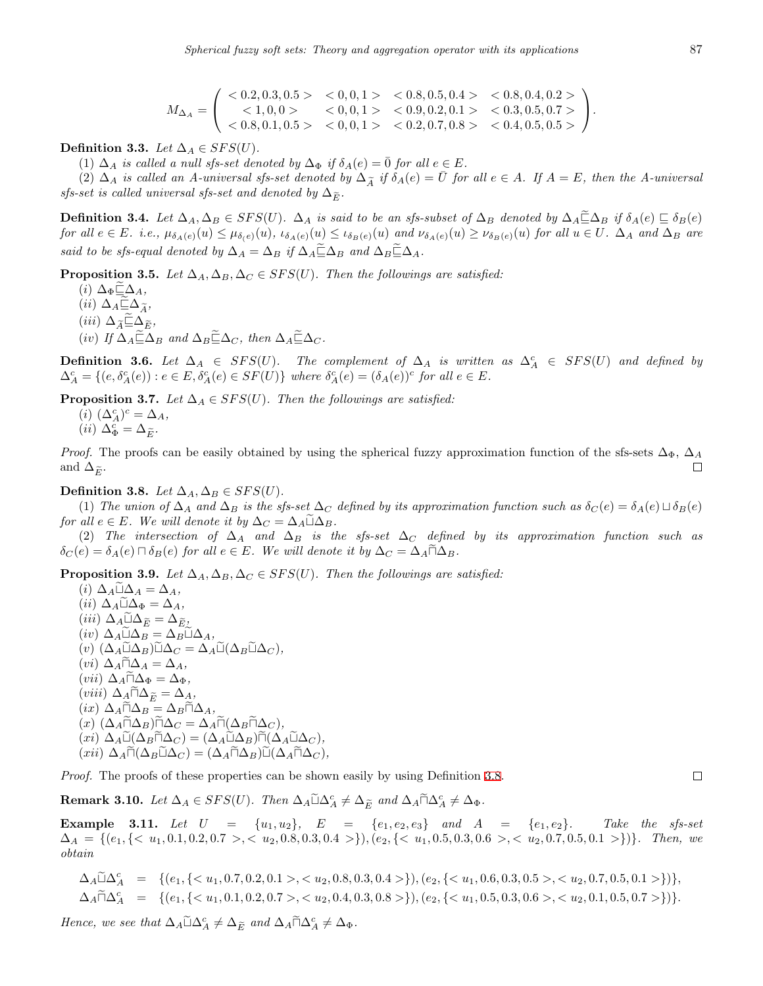$$
M_{\Delta_A} = \begin{pmatrix} < 0.2, 0.3, 0.5 > < 0, 0, 1 > < 0.8, 0.5, 0.4 > < 0.8, 0.4, 0.2 > \\ < 1, 0, 0 > < 0, 0, 1 > < 0.9, 0.2, 0.1 > < 0.3, 0.5, 0.7 > \\ < 0.8, 0.1, 0.5 > < 0, 0, 1 > < 0.2, 0.7, 0.8 > < 0.4, 0.5, 0.5 > \end{pmatrix}.
$$

**Definition 3.3.** *Let*  $\Delta_A \in SFS(U)$ *.* 

(1)  $\Delta_A$  *is called a null sfs-set denoted by*  $\Delta_{\Phi}$  *if*  $\delta_A(e) = \overline{0}$  *for all*  $e \in E$ *.* 

(2)  $\Delta_A$  is called an A-universal sfs-set denoted by  $\Delta_{\widetilde{A}}$  if  $\delta_A(e) = \overline{U}$  for all  $e \in A$ . If  $A = E$ , then the A-universal *sfs-set is called universal sfs-set and denoted by*  $\Delta_{\widetilde{E}}$ .

**Definition 3.4.** Let  $\Delta_A, \Delta_B \in SFS(U)$ .  $\Delta_A$  is said to be an sfs-subset of  $\Delta_B$  denoted by  $\Delta_A \subseteq \Delta_B$  if  $\delta_A(e) \sqsubseteq \delta_B(e)$ for all  $e \in E$ . i.e.,  $\mu_{\delta_A(e)}(u) \leq \mu_{\delta(e)}(u)$ ,  $\iota_{\delta_A(e)}(u) \leq \iota_{\delta_B(e)}(u)$  and  $\nu_{\delta_A(e)}(u) \geq \nu_{\delta_B(e)}(u)$  for all  $u \in U$ .  $\Delta_A$  and  $\Delta_B$  are *said to be sfs-equal denoted by*  $\Delta_A = \Delta_B$  *if*  $\Delta_A \widetilde{\Xi} \Delta_B$  *and*  $\Delta_B \widetilde{\Xi} \Delta_A$ *.* 

**Proposition 3.5.** *Let*  $\Delta_A, \Delta_B, \Delta_C \in SFS(U)$ *. Then the followings are satisfied:* 

 $(i)$   $\Delta_{\Phi} \sqsubseteq \Delta_A$  $(ii)$   $\Delta_A \sqsubseteq \Delta_{\widetilde{A}}$  $(iii)$   $\Delta_{\widetilde{A}} \widetilde{\sqsubseteq} \Delta_{\widetilde{E}}$ *,*  $(iv)$  *If*  $\Delta_A \widetilde{\Xi} \Delta_B$  *and*  $\Delta_B \widetilde{\Xi} \Delta_C$ *, then*  $\Delta_A \widetilde{\Xi} \Delta_C$ *.* 

**Definition 3.6.** Let  $\Delta_A \in SFS(U)$ . The complement of  $\Delta_A$  is written as  $\Delta_A^c \in SFS(U)$  and defined by  $\Delta_A^c = \{(e, \delta_A^c(e)) : e \in E, \delta_A^c(e) \in SF(U)\}\$  where  $\delta_A^c(e) = (\delta_A(e))^c$  for all  $e \in E$ .

**Proposition 3.7.** *Let*  $\Delta_A \in SFS(U)$ *. Then the followings are satisfied:* 

 $(i)$   $(\Delta_A^c)^c = \Delta_A$ ,  $(ii) \Delta_{\Phi}^c = \Delta_{\widetilde{E}}.$ 

*Proof.* The proofs can be easily obtained by using the spherical fuzzy approximation function of the sfs-sets  $\Delta_{\Phi}$ ,  $\Delta_A$ and  $\Delta_{\widetilde{E}}$ .

<span id="page-4-0"></span>**Definition 3.8.** *Let*  $\Delta_A, \Delta_B \in SFS(U)$ *.* 

(1) The union of  $\Delta_A$  and  $\Delta_B$  is the sfs-set  $\Delta_C$  defined by its approximation function such as  $\delta_C(e) = \delta_A(e) \sqcup \delta_B(e)$ *for all*  $e \in E$ *. We will denote it by*  $\Delta_C = \Delta_A \tilde{\sqcup} \Delta_B$ *.* 

(2) The intersection of  $\Delta_A$  and  $\Delta_B$  is the sfs-set  $\Delta_C$  defined by its approximation function such as  $\delta_C(e) = \delta_A(e) \sqcap \delta_B(e)$  *for all*  $e \in E$ *. We will denote it by*  $\Delta_C = \Delta_A \sqcap \Delta_B$ *.* 

**Proposition 3.9.** *Let*  $\Delta_A$ ,  $\Delta_B$ ,  $\Delta_C \in SFS(U)$ *. Then the followings are satisfied:* 

 $(i)$   $\Delta_A \tilde{\sqcup} \Delta_A = \Delta_A$  $(iii)$   $\Delta_A \tilde{\sqcup} \Delta_{\Phi} = \Delta_A$  $(iii)$   $\Delta_A \tilde{\sqcup} \Delta_{\widetilde{E}} = \Delta_{\widetilde{E}}$ *,*  $(iv)$   $\Delta_A \tilde{\sqcup} \Delta_B = \Delta_B \tilde{\sqcup} \Delta_A$  $(v)$  ( $\Delta_A \tilde{\sqcup} \Delta_B$ ) $\tilde{\sqcup} \Delta_C = \Delta_A \tilde{\sqcup} (\Delta_B \tilde{\sqcup} \Delta_C)$ *,*  $(vi)$   $\Delta_A \tilde{\sqcap} \Delta_A = \Delta_A$  $(vii)$   $\Delta_A \tilde{\Pi} \Delta_{\Phi} = \Delta_{\Phi}$  $(viii)$   $\Delta_A \tilde{\Pi} \Delta_{\tilde{E}} = \Delta_A$  $(kx)$   $\Delta$ <sup>*A*</sup> $\overline{\Delta}$ *B* =  $\Delta$ *B* $\overline{\Box}$  $\Delta$ <sub>*A*</sub>*,*  $(\Delta_A \tilde{\Pi} \Delta_B) \tilde{\Pi} \Delta_C = \Delta_A \tilde{\Pi} (\Delta_B \tilde{\Pi} \Delta_C)$ *,*  $(\overline{xi}) \Delta_A \widetilde{\mathbb{L}}(\Delta_B \widetilde{\mathbb{L}} \Delta_C) = (\Delta_A \widetilde{\mathbb{L}} \Delta_B) \widetilde{\mathbb{L}}(\Delta_A \widetilde{\mathbb{L}} \Delta_C)$  $(\pi i i) \Delta_A \tilde{\Pi}(\Delta_B \tilde{\sqcup} \Delta_C) = (\Delta_A \tilde{\sqcap} \Delta_B) \tilde{\sqcup}(\Delta_A \tilde{\sqcap} \Delta_C)$ 

*Proof.* The proofs of these properties can be shown easily by using Definition [3.8](#page-4-0).

**Remark 3.10.** *Let*  $\Delta_A \in SFS(U)$ *. Then*  $\Delta_A \tilde{\sqcup} \Delta_A^c \neq \Delta_{\tilde{E}}$  and  $\Delta_A \tilde{\sqcap} \Delta_A^c \neq \Delta_{\Phi}$ *.* 

**Example 3.11.** Let  $U = \{u_1, u_2\}$ ,  $E = \{e_1, e_2, e_3\}$  and  $A = \{e_1, e_2\}$ . Take the sfs-set  $\Delta_A = \{(e_1, \{& u_1, 0.1, 0.2, 0.7 \>, & u_2, 0.8, 0.3, 0.4 \> \}\), (e_2, \{& u_1, 0.5, 0.3, 0.6 \>, & u_2, 0.7, 0.5, 0.1 \> \})\}.$  Then, we *obtain*

 $\Delta_A \tilde{\sqcup} \Delta_A^c = \{ (e_1, \{ ,  \}), (e_2, \{ ,  \}) \},$  $\Delta_A \tilde{\sqcap} \Delta_A^c = \{ (e_1, \{ ,  \}), (e_2, \{ ,  \}) \}.$ 

*Hence, we see that*  $\Delta_A \tilde{\sqcup} \Delta_A^c \neq \Delta_{\tilde{E}}$  *and*  $\Delta_A \tilde{\sqcap} \Delta_A^c \neq \Delta_{\Phi}$ *.* 

 $\Box$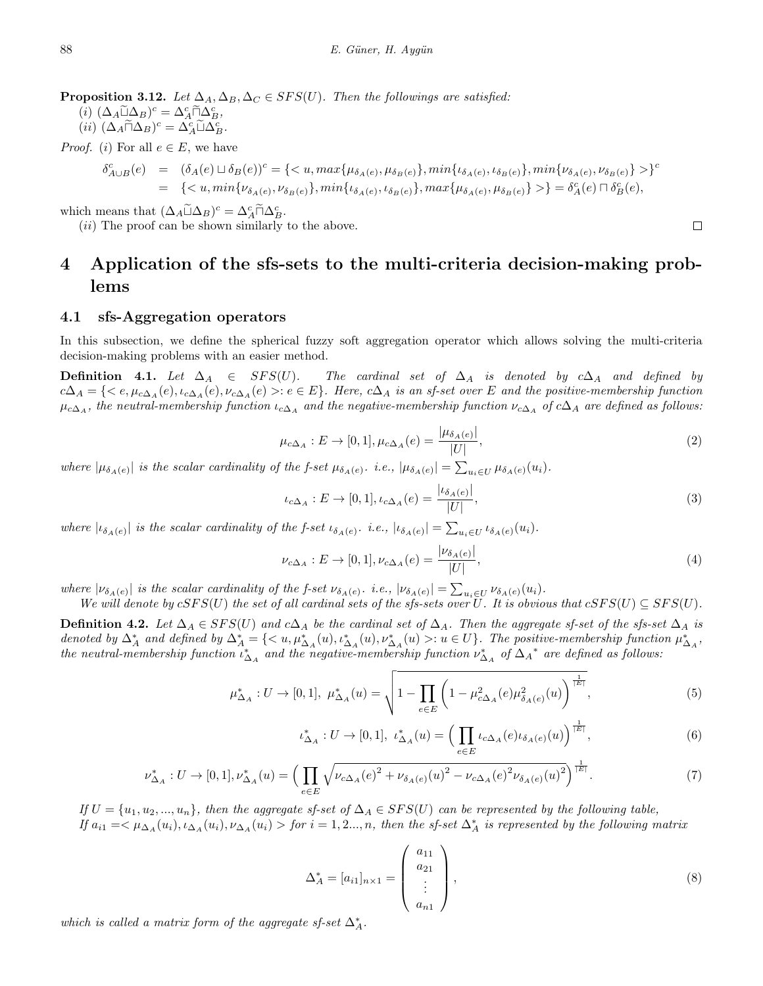**Proposition 3.12.** *Let*  $\Delta_A$ ,  $\Delta_B$ ,  $\Delta_C \in SFS(U)$ *. Then the followings are satisfied:* 

 $(\iota)$   $(\Delta_A \widetilde{\sqcup} \Delta_B)^c = \Delta_A^c \widetilde{\sqcap} \Delta_B^c,$ <br> $(\iota)$   $(\Delta_A \widetilde{\sqcap} \Delta_B)^c = \Delta_C^c \widetilde{\sqcap} \Delta_C^c,$ 

$$
(ii) \ (\Delta_A \widetilde{\sqcap} \Delta_B)^c = \Delta_A^c \widetilde{\sqcup} \Delta_B^c.
$$

*Proof.* (*i*) For all  $e \in E$ , we have

$$
\begin{array}{lll} \delta_{A\cup B}^{c}(e) & = & (\delta_{A}(e)\sqcup\delta_{B}(e))^{c} = \{ \}^{c} \\ & = & \{ \} = & \delta_{A}^{c}(e) \sqcap \delta_{B}^{c}(e), \end{array}
$$

which means that  $(\Delta_A \widetilde{\sqcup} \Delta_B)^c = \Delta_A^c \widetilde{\sqcap} \Delta_B^c$ .<br>
(*ii*) The proof can be above similarly

(*ii*) The proof can be shown similarly to the above.

# **4 Application of the sfs-sets to the multi-criteria decision-making problems**

#### **4.1 sfs-Aggregation operators**

In this subsection, we define the spherical fuzzy soft aggregation operator which allows solving the multi-criteria decision-making problems with an easier method.

<span id="page-5-0"></span>**Definition 4.1.** *Let*  $\Delta_A$  ∈ *SFS(U)*. *The cardinal set of*  $\Delta_A$  *is denoted by*  $c\Delta_A$  *and defined by*  $c\Delta_A = \{ \langle e, \mu_{c\Delta_A}(e), \iota_{c\Delta_A}(e), \nu_{c\Delta_A}(e) \rangle : e \in E \}.$  Here,  $c\Delta_A$  is an sf-set over E and the positive-membership function  $\mu_{c\Delta_A}$ , the neutral-membership function  $\iota_{c\Delta_A}$  and the negative-membership function  $\nu_{c\Delta_A}$  of  $c\Delta_A$  are defined as follows:

$$
\mu_{c\Delta_A}: E \to [0, 1], \mu_{c\Delta_A}(e) = \frac{|\mu_{\delta_A(e)}|}{|U|},
$$
\n(2)

where  $|\mu_{\delta_A(e)}|$  is the scalar cardinality of the f-set  $\mu_{\delta_A(e)}$ . i.e.,  $|\mu_{\delta_A(e)}| = \sum_{u_i \in U} \mu_{\delta_A(e)}(u_i)$ .

<span id="page-5-2"></span>
$$
\iota_{c\Delta_A}: E \to [0,1], \iota_{c\Delta_A}(e) = \frac{|\iota_{\delta_A(e)}|}{|U|},
$$
\n(3)

where  $|\iota_{\delta_A(e)}|$  is the scalar cardinality of the f-set  $\iota_{\delta_A(e)}$ . i.e.,  $|\iota_{\delta_A(e)}| = \sum_{u_i \in U} \iota_{\delta_A(e)}(u_i)$ .

$$
\nu_{c\Delta_A}: E \to [0, 1], \nu_{c\Delta_A}(e) = \frac{|\nu_{\delta_A(e)}|}{|U|},
$$
\n(4)

where  $|\nu_{\delta_A(e)}|$  is the scalar cardinality of the f-set  $\nu_{\delta_A(e)}$ . i.e.,  $|\nu_{\delta_A(e)}| = \sum_{u_i \in U} \nu_{\delta_A(e)}(u_i)$ .

*We will denote by*  $cSFS(U)$  *the set of all cardinal sets of the sfs-sets over U. It is obvious that*  $cSFS(U) \subseteq SFS(U)$ .

**Definition 4.2.** Let  $\Delta_A \in SFS(U)$  and  $c\Delta_A$  be the cardinal set of  $\Delta_A$ . Then the aggregate sf-set of the sfs-set  $\Delta_A$  is denoted by  $\Delta_A^*$  and defined by  $\Delta_A^* = \{ \langle u, \mu_{\Delta_A}^*(u), \iota_{\Delta_A}^*(u), \nu_{\Delta_A}^*(u) \rangle : u \in U \}.$  The positive-membership function  $\mu_{\Delta_A}^*$ , *the neutral-membership function*  $\iota_{\Delta_A}^*$  and the negative-membership function  $\nu_{\Delta_A}^*$  of  $\Delta_A^*$  are defined as follows:

$$
\mu_{\Delta_A}^*: U \to [0, 1], \ \mu_{\Delta_A}^*(u) = \sqrt{1 - \prod_{e \in E} \left( 1 - \mu_{c\Delta_A}^2(e) \mu_{\delta_A(e)}^2(u) \right)^{\frac{1}{|E|}}},\tag{5}
$$

$$
\iota_{\Delta_A}^*: U \to [0, 1], \ \iota_{\Delta_A}^*(u) = \left(\prod_{e \in E} \iota_{c\Delta_A}(e) \iota_{\delta_A(e)}(u)\right)^{\frac{1}{|E|}},\tag{6}
$$

$$
\nu_{\Delta_A}^*: U \to [0,1], \nu_{\Delta_A}^*(u) = \left(\prod_{e \in E} \sqrt{\nu_{c\Delta_A}(e)^2 + \nu_{\delta_A(e)}(u)^2 - \nu_{c\Delta_A}(e)^2 \nu_{\delta_A(e)}(u)^2}\right)^{\frac{1}{|E|}}.
$$
(7)

 $If U = \{u_1, u_2, ..., u_n\}, then the aggregate sf-set of  $\Delta_A \in SFS(U)$  *can be represented by the following table,*$ If  $a_{i1} = \langle \mu_{\Delta A}(u_i), \mu_{\Delta A}(u_i), \nu_{\Delta A}(u_i) \rangle$  for  $i = 1, 2..., n$ , then the sf-set  $\Delta_A^*$  is represented by the following matrix

$$
\Delta_A^* = [a_{i1}]_{n \times 1} = \begin{pmatrix} a_{11} \\ a_{21} \\ \vdots \\ a_{n1} \end{pmatrix},
$$
\n(8)

*which is called a matrix form of the aggregate sf-set*  $\Delta_A^*$ .

<span id="page-5-1"></span> $\Box$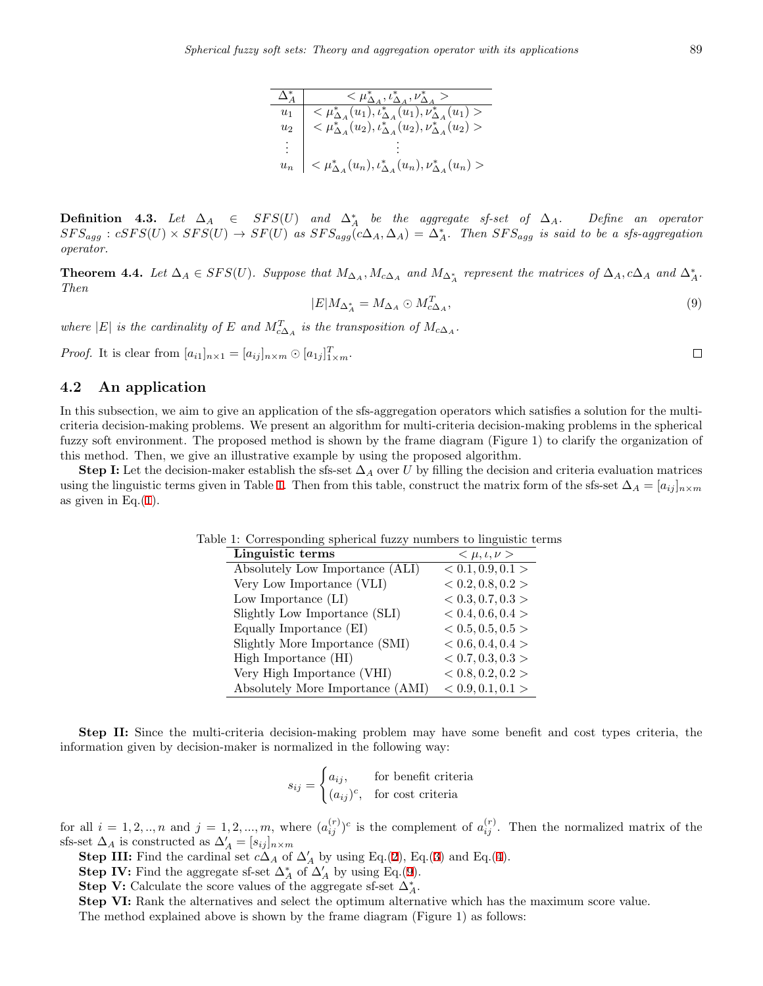| $\Delta^*_A$       | $<\mu_{\Delta_A}^*,\iota_{\Delta_A}^*,\nu_{\Delta_A}^*>$                                                                                                   |
|--------------------|------------------------------------------------------------------------------------------------------------------------------------------------------------|
| $\boldsymbol{u}_1$ |                                                                                                                                                            |
| $u_2$              | $<\mu_{\Delta_A}^*(\overline{u_1}),\iota_{\Delta_A}^*(u_1),\nu_{\Delta_A}^*(u_1)>\\ <\mu_{\Delta_A}^*(u_2),\iota_{\Delta_A}^*(u_2),\nu_{\Delta_A}^*(u_2)>$ |
|                    |                                                                                                                                                            |
| $u_n$              | $<\mu_{\Delta_A}^*(u_n), \iota_{\Delta_A}^*(u_n), \nu_{\Delta_A}^*(u_n) >$                                                                                 |

**Definition 4.3.** *Let*  $\Delta_A$  ∈ *SFS*(*U*) and  $\Delta_A^*$  be the aggregate sf-set of  $\Delta_A$ . Define an operator  $SFS_{agg}: cSFS(U)\times SFS(U) \rightarrow SF(U)$  as  $SFS_{agg}(c\Delta_A, \Delta_A) = \Delta_A^*$ . Then  $SFS_{agg}$  is said to be a sfs-aggregation *operator.*

<span id="page-6-1"></span>**Theorem 4.4.** Let  $\Delta_A \in SFS(U)$ . Suppose that  $M_{\Delta_A}, M_{c\Delta_A}$  and  $M_{\Delta_A^*}$  represent the matrices of  $\Delta_A, c\Delta_A$  and  $\Delta_A^*$ . *Then*

$$
|E|M_{\Delta_A^*} = M_{\Delta_A} \odot M_{c\Delta_A}^T,\tag{9}
$$

*where*  $|E|$  *is the cardinality of*  $E$  *and*  $M_{c\Delta A}^T$  *is the transposition of*  $M_{c\Delta A}$ *.* 

*Proof.* It is clear from  $[a_{i1}]_{n \times 1} = [a_{ij}]_{n \times m} \odot [a_{1j}]_{1 \times m}^T$ .

#### **4.2 An application**

In this subsection, we aim to give an application of the sfs-aggregation operators which satisfies a solution for the multicriteria decision-making problems. We present an algorithm for multi-criteria decision-making problems in the spherical fuzzy soft environment. The proposed method is shown by the frame diagram (Figure 1) to clarify the organization of this method. Then, we give an illustrative example by using the proposed algorithm.

**Step I:** Let the decision-maker establish the sfs-set  $\Delta_A$  over *U* by filling the decision and criteria evaluation matrices using the linguistic terms given in Table [1](#page-6-0). Then from this table, construct the matrix form of the sfs-set  $\Delta_A = [a_{ij}]_{n \times m}$ as given in Eq. $(1)$  $(1)$ .

<span id="page-6-0"></span>

| Linguistic terms                 | $<\mu, \iota, \nu>$ |
|----------------------------------|---------------------|
| Absolutely Low Importance (ALI)  | < 0.1, 0.9, 0.1 >   |
| Very Low Importance (VLI)        | < 0.2, 0.8, 0.2 >   |
| Low Importance (LI)              | < 0.3, 0.7, 0.3 >   |
| Slightly Low Importance (SLI)    | < 0.4, 0.6, 0.4 >   |
| Equally Importance (EI)          | < 0.5, 0.5, 0.5 >   |
| Slightly More Importance (SMI)   | < 0.6, 0.4, 0.4 >   |
| High Importance (HI)             | < 0.7, 0.3, 0.3 >   |
| Very High Importance (VHI)       | < 0.8, 0.2, 0.2 >   |
| Absolutely More Importance (AMI) | < 0.9, 0.1, 0.1 >   |

Table 1: Corresponding spherical fuzzy numbers to linguistic terms

**Step II:** Since the multi-criteria decision-making problem may have some benefit and cost types criteria, the information given by decision-maker is normalized in the following way:

$$
s_{ij} = \begin{cases} a_{ij}, & \text{for benefit criteria} \\ (a_{ij})^c, & \text{for cost criteria} \end{cases}
$$

for all  $i = 1, 2, ..., n$  and  $j = 1, 2, ..., m$ , where  $(a_{ij}^{(r)})^c$  is the complement of  $a_{ij}^{(r)}$ . Then the normalized matrix of the sfs-set  $\Delta_A$  is constructed as  $\Delta'_A = [s_{ij}]_{n \times m}$ 

**Step III:** Find the cardinal set  $c\Delta_A$  of  $\Delta'_A$  by using Eq.([2\)](#page-5-0), Eq.[\(3](#page-5-1)) and Eq.[\(4](#page-5-2)).

**Step IV:** Find the aggregate sf-set  $\Delta_A^*$  of  $\Delta'_A$  by using Eq.([9\)](#page-6-1).

**Step V:** Calculate the score values of the aggregate sf-set  $\Delta_A^*$ .

**Step VI:** Rank the alternatives and select the optimum alternative which has the maximum score value. The method explained above is shown by the frame diagram (Figure 1) as follows:

 $\Box$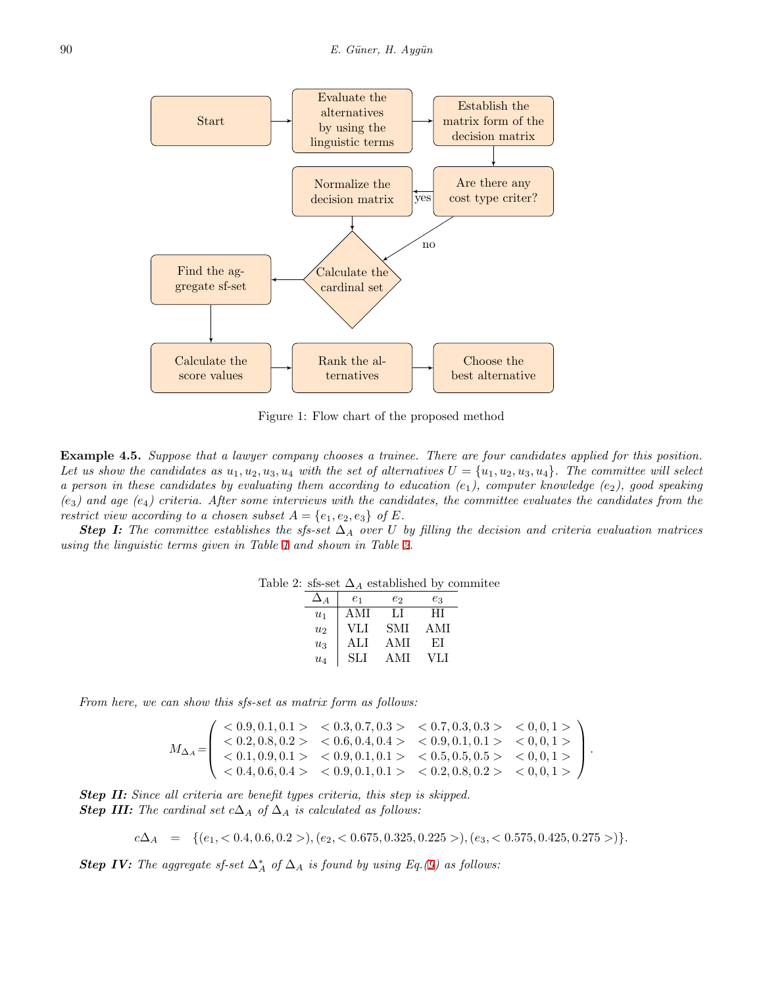

Figure 1: Flow chart of the proposed method

**Example 4.5.** *Suppose that a lawyer company chooses a trainee. There are four candidates applied for this position.* Let us show the candidates as  $u_1, u_2, u_3, u_4$  with the set of alternatives  $U = \{u_1, u_2, u_3, u_4\}$ . The committee will select *a person in these candidates by evaluating them according to education (e*1*), computer knowledge (e*2*), good speaking*  $(e_3)$  and age  $(e_4)$  criteria. After some interviews with the candidates, the committee evaluates the candidates from the *restrict view according to a chosen subset*  $A = \{e_1, e_2, e_3\}$  *of*  $E$ *.* 

**Step I:** The committee establishes the sfs-set  $\Delta_A$  over *U* by filling the decision and criteria evaluation matrices *using the linguistic terms given in Table [1](#page-6-0) and shown in Table [2.](#page-7-0)*

| Table 2: sfs-set $\Delta_A$ established by commitee |  |  |  |
|-----------------------------------------------------|--|--|--|
|-----------------------------------------------------|--|--|--|

<span id="page-7-0"></span>

| $\Delta A$ | e1   | е2   | eз   |
|------------|------|------|------|
| $u_1$      | A MT | LТ   | HІ   |
| $u_2$      | VЫ   | SMI  | A MI |
| $u_3$      | ALI  | AMI  | ET.  |
| $u_4$      | SЫ   | A MI | VLI  |

*From here, we can show this sfs-set as matrix form as follows:*

 $M_{\Delta_A} =$  $\sqrt{ }$  $\overline{\phantom{a}}$ *<* 0*.*9*,* 0*.*1*,* 0*.*1 *> <* 0*.*3*,* 0*.*7*,* 0*.*3 *> <* 0*.*7*,* 0*.*3*,* 0*.*3 *> <* 0*,* 0*,* 1 *> <* 0*.*2*,* 0*.*8*,* 0*.*2 *> <* 0*.*6*,* 0*.*4*,* 0*.*4 *> <* 0*.*9*,* 0*.*1*,* 0*.*1 *> <* 0*,* 0*,* 1 *> <* 0*.*1*,* 0*.*9*,* 0*.*1 *> <* 0*.*9*,* 0*.*1*,* 0*.*1 *> <* 0*.*5*,* 0*.*5*,* 0*.*5 *> <* 0*,* 0*,* 1 *> <* 0*.*4*,* 0*.*6*,* 0*.*4 *> <* 0*.*9*,* 0*.*1*,* 0*.*1 *> <* 0*.*2*,* 0*.*8*,* 0*.*2 *> <* 0*,* 0*,* 1 *>*  $\setminus$ *.*

*Step II: Since all criteria are benefit types criteria, this step is skipped.* **Step III:** The cardinal set  $c\Delta_A$  of  $\Delta_A$  is calculated as follows:

$$
c\Delta_A = \{(e_1, < 0.4, 0.6, 0.2 >), (e_2, < 0.675, 0.325, 0.225 >), (e_3, < 0.575, 0.425, 0.275 >)\}.
$$

*Step IV: The aggregate sf-set*  $\Delta_A^*$  *of*  $\Delta_A$  *is found by using Eq.*[\(9\)](#page-6-1) *as follows:*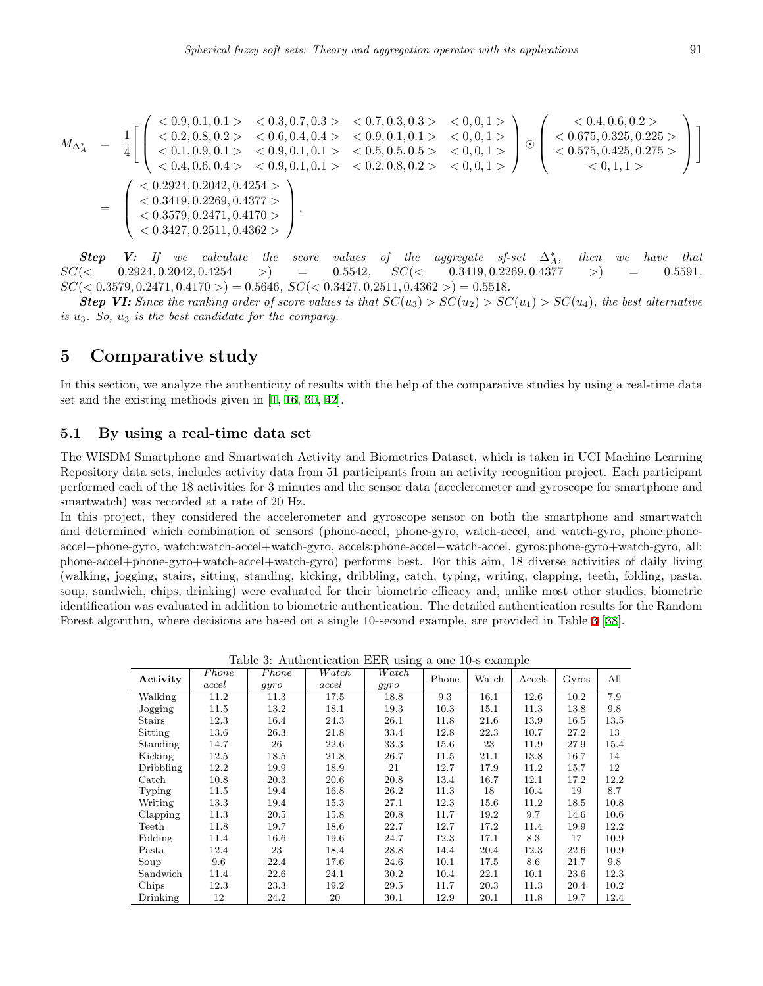$$
M_{\Delta_A^*} = \frac{1}{4} \Bigg[ \begin{pmatrix} <0.9, 0.1, 0.1> & <0.3, 0.7, 0.3> & <0.7, 0.3, 0.3> & <0, 0, 1> \\ <0.2, 0.8, 0.2> & <0.6, 0.4, 0.4> & <0.9, 0.1, 0.1> & <0.9, 0.1> \\ <0.1, 0.9, 0.1> & <0.9, 0.1, 0.1> & <0.5, 0.5, 0.5> & <0, 0, 1> \\ <0.4, 0.6, 0.4> & <0.9, 0.1, 0.1> & <0.5, 0.5, 0.5> & <0, 0, 1> \\ <0.4, 0.6, 0.4> & <0.9, 0.1, 0.1> & <0.2, 0.8, 0.2> & <0, 0, 1> \\ <0.3419, 0.2269, 0.4377> & < & <0.2, 0.8, 0.2> & <0, 0, 1> \\ <0.3579, 0.2471, 0.4170> & < & <0.3427, 0.2511, 0.4362> \end{pmatrix} \Bigg]
$$

**Step V:** If we calculate the score values of the aggregate sf-set  $\Delta^*_{A}$ , *gregate sf-set*  $\Delta_A^*$ , *then we have that* 0.3419, 0.2269, 0.4377 > = 0.5591,  $SC(<$  0.2924*,* 0.2042*,* 0.4254 *>*) = 0.5542*,*  $SC(<$  0.3419*,* 0.2269*,* 0.4377 >) *SC*(*<* 0*.*3579*,* 0*.*2471*,* 0*.*4170 *>*) = 0*.*5646*, SC*(*<* 0*.*3427*,* 0*.*2511*,* 0*.*4362 *>*) = 0*.*5518*.*

**Step VI:** Since the ranking order of score values is that  $SC(u_3) > SC(u_2) > SC(u_1) > SC(u_4)$ , the best alternative *is u*3*. So, u*<sup>3</sup> *is the best candidate for the company.*

### **5 Comparative study**

In this section, we analyze the authenticity of results with the help of the comparative studies by using a real-time data set and the existing methods given in [[1,](#page-13-17) [16,](#page-13-16) [30,](#page-14-13) [42\]](#page-14-12).

#### **5.1 By using a real-time data set**

The WISDM Smartphone and Smartwatch Activity and Biometrics Dataset, which is taken in UCI Machine Learning Repository data sets, includes activity data from 51 participants from an activity recognition project. Each participant performed each of the 18 activities for 3 minutes and the sensor data (accelerometer and gyroscope for smartphone and smartwatch) was recorded at a rate of 20 Hz.

In this project, they considered the accelerometer and gyroscope sensor on both the smartphone and smartwatch and determined which combination of sensors (phone-accel, phone-gyro, watch-accel, and watch-gyro, phone:phoneaccel+phone-gyro, watch:watch-accel+watch-gyro, accels:phone-accel+watch-accel, gyros:phone-gyro+watch-gyro, all: phone-accel+phone-gyro+watch-accel+watch-gyro) performs best. For this aim, 18 diverse activities of daily living (walking, jogging, stairs, sitting, standing, kicking, dribbling, catch, typing, writing, clapping, teeth, folding, pasta, soup, sandwich, chips, drinking) were evaluated for their biometric efficacy and, unlike most other studies, biometric identification was evaluated in addition to biometric authentication. The detailed authentication results for the Random Forest algorithm, where decisions are based on a single 10-second example, are provided in Table [3](#page-8-0) [\[38](#page-14-21)].

| Activity      | Phone | Phone | Watch | Watch | Phone | Watch | Accels | Gyros | All  |
|---------------|-------|-------|-------|-------|-------|-------|--------|-------|------|
|               | accel | gyro  | accel | gyro  |       |       |        |       |      |
| Walking       | 11.2  | 11.3  | 17.5  | 18.8  | 9.3   | 16.1  | 12.6   | 10.2  | 7.9  |
| Jogging       | 11.5  | 13.2  | 18.1  | 19.3  | 10.3  | 15.1  | 11.3   | 13.8  | 9.8  |
| <b>Stairs</b> | 12.3  | 16.4  | 24.3  | 26.1  | 11.8  | 21.6  | 13.9   | 16.5  | 13.5 |
| Sitting       | 13.6  | 26.3  | 21.8  | 33.4  | 12.8  | 22.3  | 10.7   | 27.2  | 13   |
| Standing      | 14.7  | 26    | 22.6  | 33.3  | 15.6  | 23    | 11.9   | 27.9  | 15.4 |
| Kicking       | 12.5  | 18.5  | 21.8  | 26.7  | 11.5  | 21.1  | 13.8   | 16.7  | 14   |
| Dribbling     | 12.2  | 19.9  | 18.9  | 21    | 12.7  | 17.9  | 11.2   | 15.7  | 12   |
| Catch         | 10.8  | 20.3  | 20.6  | 20.8  | 13.4  | 16.7  | 12.1   | 17.2  | 12.2 |
| Typing        | 11.5  | 19.4  | 16.8  | 26.2  | 11.3  | 18    | 10.4   | 19    | 8.7  |
| Writing       | 13.3  | 19.4  | 15.3  | 27.1  | 12.3  | 15.6  | 11.2   | 18.5  | 10.8 |
| Clapping      | 11.3  | 20.5  | 15.8  | 20.8  | 11.7  | 19.2  | 9.7    | 14.6  | 10.6 |
| Teeth         | 11.8  | 19.7  | 18.6  | 22.7  | 12.7  | 17.2  | 11.4   | 19.9  | 12.2 |
| Folding       | 11.4  | 16.6  | 19.6  | 24.7  | 12.3  | 17.1  | 8.3    | 17    | 10.9 |
| Pasta         | 12.4  | 23    | 18.4  | 28.8  | 14.4  | 20.4  | 12.3   | 22.6  | 10.9 |
| Soup          | 9.6   | 22.4  | 17.6  | 24.6  | 10.1  | 17.5  | 8.6    | 21.7  | 9.8  |
| Sandwich      | 11.4  | 22.6  | 24.1  | 30.2  | 10.4  | 22.1  | 10.1   | 23.6  | 12.3 |
| Chips         | 12.3  | 23.3  | 19.2  | 29.5  | 11.7  | 20.3  | 11.3   | 20.4  | 10.2 |
| Drinking      | 12    | 24.2  | 20    | 30.1  | 12.9  | 20.1  | 11.8   | 19.7  | 12.4 |

<span id="page-8-0"></span>Table 3: Authentication EER using a one 10-s example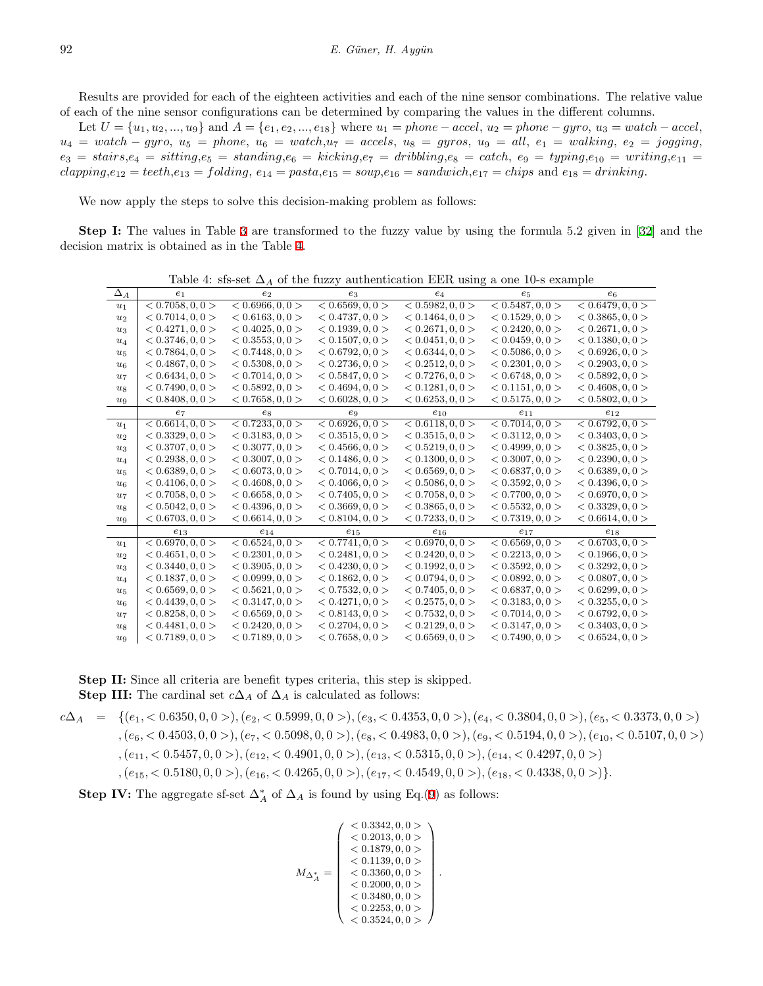Results are provided for each of the eighteen activities and each of the nine sensor combinations. The relative value of each of the nine sensor configurations can be determined by comparing the values in the different columns.

Let  $U = \{u_1, u_2, ..., u_9\}$  and  $A = \{e_1, e_2, ..., e_{18}\}$  where  $u_1 = phone - accel, u_2 = phone - gyro, u_3 = watch - accel,$  $u_4 = watch - gyro, u_5 = phone, u_6 = watch, u_7 = accel, u_8 = gyros, u_9 = all, e_1 = walking, e_2 = jogging,$  $e_3 = \textit{stairs}, e_4 = \textit{stiting}, e_5 = \textit{standing}, e_6 = \textit{kicking}, e_7 = \textit{dribling}, e_8 = \textit{catch}, e_9 = \textit{typing}, e_{10} = \textit{writing}, e_{11} = \textit{writing}, e_{12} = \textit{writing}, e_{13} = \textit{wiving}, e_{14} = \textit{wiving}, e_{15} = \textit{wiving}, e_{16} = \textit{writing}, e_{17} = \textit{wString}, e_{18} = \textit{wString}, e_{19} = \textit{wstring}, e_{10} = \textit{writing}, e_{$  $clapping, e_{12} = teeth, e_{13} = folding, e_{14} = pasta, e_{15} = soup, e_{16} = sandwich, e_{17} = chips and e_{18} = drinking, e_{19} = skin, e_{19} = skin, e_{19} = skin, e_{10} = skin, e_{11} = skin, e_{12} = skin, e_{13} = skin, e_{14} ={'}$ 

We now apply the steps to solve this decision-making problem as follows:

**Step I:** The values in Table [3](#page-8-0) are transformed to the fuzzy value by using the formula 5.2 given in [\[32](#page-14-22)] and the decision matrix is obtained as in the Table [4.](#page-9-0)

|                |                  |                  | Table 4: sfs-set $\Delta_A$ of the fuzzy authentication EER using a one 10-s example |                       |                  |                  |
|----------------|------------------|------------------|--------------------------------------------------------------------------------------|-----------------------|------------------|------------------|
| $\Delta_A$     | e <sub>1</sub>   | e <sub>2</sub>   | $e_3$                                                                                | $e_4$                 | $e_5$            | $e_6$            |
| $u_1$          | < 0.7058, 0, 0 > | < 0.6966, 0, 0 > | < 0.6569, 0, 0 >                                                                     | < 0.5982, 0, 0 >      | < 0.5487, 0, 0 > | < 0.6479, 0, 0 > |
| $u_2$          | < 0.7014, 0, 0 > | < 0.6163, 0, 0 > | < 0.4737, 0, 0 >                                                                     | < 0.1464, 0, 0 >      | < 0.1529, 0, 0 > | < 0.3865, 0, 0 > |
| $u_3$          | < 0.4271, 0, 0 > | < 0.4025, 0, 0 > | < 0.1939, 0, 0 >                                                                     | < 0.2671, 0, 0 >      | < 0.2420, 0, 0 > | < 0.2671, 0, 0 > |
| $u_4$          | < 0.3746, 0, 0 > | < 0.3553, 0, 0 > | < 0.1507, 0, 0 >                                                                     | < 0.0451, 0, 0 >      | < 0.0459, 0, 0 > | < 0.1380, 0, 0 > |
| $u_{5}$        | < 0.7864, 0.0 >  | < 0.7448, 0, 0 > | < 0.6792, 0.0 >                                                                      | < 0.6344, 0.0 >       | < 0.5086, 0.0 >  | < 0.6926, 0.0 >  |
| u <sub>6</sub> | < 0.4867, 0.0 >  | < 0.5308, 0.0 >  | < 0.2736, 0, 0 >                                                                     | < 0.2512, 0, 0 >      | < 0.2301, 0, 0 > | < 0.2903, 0, 0 > |
| $u_7$          | < 0.6434, 0, 0 > | < 0.7014, 0, 0 > | < 0.5847, 0, 0 >                                                                     | < 0.7276, 0, 0 >      | < 0.6748, 0, 0 > | < 0.5892, 0, 0 > |
| $u_8$          | < 0.7490, 0, 0 > | < 0.5892, 0, 0 > | < 0.4694, 0, 0 >                                                                     | < 0.1281, 0, 0 >      | < 0.1151, 0, 0 > | < 0.4608, 0, 0 > |
| $u_{9}$        | < 0.8408, 0, 0 > | < 0.7658, 0, 0 > | < 0.6028, 0, 0 >                                                                     | < 0.6253, 0, 0 >      | < 0.5175, 0, 0 > | < 0.5802, 0, 0 > |
|                | $e_7$            | $e_8$            | $e_9$                                                                                | $e_{10}$              | $e_{11}$         | $e_{12}$         |
| $u_1$          | < 0.6614, 0, 0 > | < 0.7233, 0, 0 > | < 0.6926, 0, 0 >                                                                     | < 0.6118, 0.0 >       | < 0.7014, 0, 0 > | < 0.6792, 0, 0 > |
| $u_2$          | < 0.3329, 0, 0 > | < 0.3183, 0, 0 > | < 0.3515, 0, 0 >                                                                     | < 0.3515, 0, 0 >      | < 0.3112, 0, 0 > | < 0.3403, 0, 0 > |
| $u_3$          | < 0.3707, 0.0 >  | < 0.3077, 0.0 >  | < 0.4566, 0, 0 >                                                                     | < 0.5219, 0.0 >       | < 0.4999, 0.0 >  | < 0.3825, 0.0 >  |
| $u_4$          | < 0.2938, 0.0 >  | < 0.3007, 0.0 >  | < 0.1486, 0, 0 >                                                                     | < 0.1300, 0.0 >       | < 0.3007, 0, 0 > | < 0.2390, 0, 0 > |
| $u_5$          | < 0.6389, 0, 0 > | < 0.6073, 0, 0 > | < 0.7014, 0, 0 >                                                                     | < 0.6569, 0, 0 >      | < 0.6837, 0, 0 > | < 0.6389, 0, 0 > |
| u <sub>6</sub> | < 0.4106, 0, 0 > | < 0.4608, 0, 0 > | < 0.4066, 0, 0 >                                                                     | < 0.5086, 0, 0 >      | < 0.3592, 0, 0 > | < 0.4396, 0, 0 > |
| $u_7$          | < 0.7058, 0.0 >  | < 0.6658, 0.0 >  | < 0.7405, 0, 0 >                                                                     | $< 0.7058$ , 0, 0 $>$ | < 0.7700, 0, 0 > | < 0.6970, 0, 0 > |
| $u_8$          | < 0.5042, 0.0 >  | < 0.4396, 0.0 >  | < 0.3669, 0.0 >                                                                      | < 0.3865, 0.0 >       | < 0.5532, 0.0 >  | < 0.3329, 0, 0 > |
| $u_{9}$        | < 0.6703, 0, 0 > | < 0.6614, 0, 0 > | < 0.8104, 0, 0 >                                                                     | < 0.7233, 0, 0 >      | < 0.7319, 0, 0 > | < 0.6614, 0, 0 > |
|                | $e_{13}$         | $e_{14}$         | $e_{15}$                                                                             | $e_{16}$              | $e_{17}$         | $e_{18}$         |
| $u_1$          | < 0.6970, 0.0 >  | < 0.6524, 0, 0 > | < 0.7741, 0, 0 >                                                                     | < 0.6970, 0.0 >       | < 0.6569, 0, 0 > | < 0.6703, 0, 0 > |
| $u_2$          | < 0.4651, 0, 0 > | < 0.2301, 0, 0 > | < 0.2481, 0, 0 >                                                                     | < 0.2420, 0, 0 >      | < 0.2213, 0, 0 > | < 0.1966, 0, 0 > |
| $u_3$          | < 0.3440, 0, 0 > | < 0.3905, 0, 0 > | < 0.4230, 0, 0 >                                                                     | < 0.1992, 0, 0 >      | < 0.3592, 0, 0 > | < 0.3292, 0, 0 > |
| $u_4$          | < 0.1837, 0, 0 > | < 0.0999, 0, 0 > | < 0.1862, 0, 0 >                                                                     | < 0.0794, 0, 0 >      | < 0.0892, 0, 0 > | < 0.0807, 0, 0 > |
| $u_{5}$        | < 0.6569, 0, 0 > | < 0.5621, 0, 0 > | < 0.7532, 0, 0 >                                                                     | < 0.7405, 0, 0 >      | < 0.6837, 0, 0 > | < 0.6299, 0, 0 > |
| u <sub>6</sub> | < 0.4439, 0, 0 > | < 0.3147, 0, 0 > | < 0.4271, 0, 0 >                                                                     | < 0.2575, 0, 0 >      | < 0.3183, 0, 0 > | < 0.3255, 0, 0 > |
| $u_7$          | < 0.8258, 0, 0 > | < 0.6569, 0, 0 > | < 0.8143, 0, 0 >                                                                     | < 0.7532, 0, 0 >      | < 0.7014, 0, 0 > | < 0.6792, 0, 0 > |
| $u_8$          | < 0.4481, 0, 0 > | < 0.2420, 0, 0 > | < 0.2704, 0, 0 >                                                                     | < 0.2129, 0, 0 >      | < 0.3147, 0, 0 > | < 0.3403, 0, 0 > |
| $u_{9}$        | < 0.7189, 0.0 >  | < 0.7189, 0.0 >  | < 0.7658, 0.0 >                                                                      | < 0.6569, 0.0 >       | < 0.7490, 0, 0 > | < 0.6524, 0.0 >  |

<span id="page-9-0"></span>

**Step II:** Since all criteria are benefit types criteria, this step is skipped. **Step III:** The cardinal set  $c\Delta_A$  of  $\Delta_A$  is calculated as follows:

$$
c\Delta_A = \{(e_1, < 0.6350, 0, 0 >), (e_2, < 0.5999, 0, 0 >), (e_3, < 0.4353, 0, 0 >), (e_4, < 0.3804, 0, 0 >), (e_5, < 0.3373, 0, 0 >), (e_6, < 0.4503, 0, 0 >), (e_7, < 0.5098, 0, 0 >), (e_8, < 0.4983, 0, 0 >), (e_9, < 0.5194, 0, 0 >), (e_{10}, < 0.5107, 0, 0 >), (e_{11}, < 0.5457, 0, 0 >), (e_{12}, < 0.4901, 0, 0 >), (e_{13}, < 0.5315, 0, 0 >), (e_{14}, < 0.4297, 0, 0 >), (e_{15}, < 0.5180, 0, 0 >), (e_{16}, < 0.4265, 0, 0 >), (e_{17}, < 0.4549, 0, 0 >), (e_{18}, < 0.4338, 0, 0 >)\}.
$$

**Step IV:** The aggregate sf-set  $\Delta_A^*$  of  $\Delta_A$  is found by using Eq.[\(9](#page-6-1)) as follows:

$$
M_{\Delta_A^*} = \left( \begin{array}{c} < 0.3342, 0, 0 > \\ < 0.2013, 0, 0 > \\ < 0.1879, 0, 0 > \\ < 0.1139, 0, 0 > \\ < 0.3360, 0, 0 > \\ < 0.2000, 0, 0 > \\ < 0.2253, 0, 0 > \\ < 0.3524, 0, 0 > \end{array} \right).
$$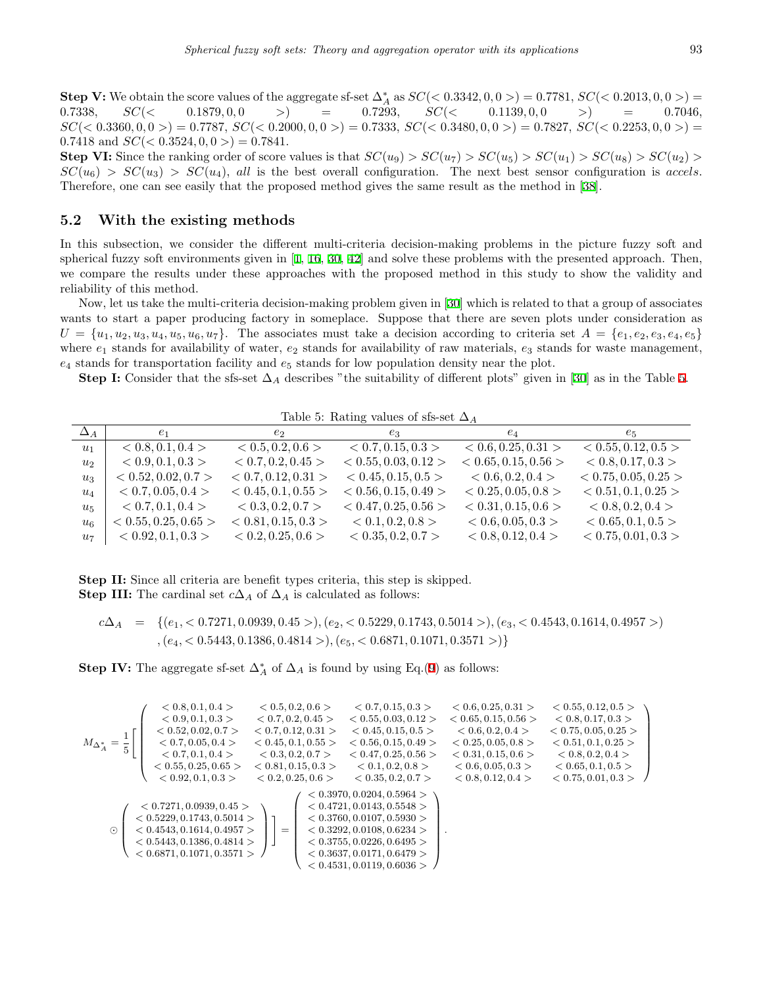**Step V:** We obtain the score values of the aggregate sf-set  $\Delta_A^*$  as  $SC(< 0.3342, 0, 0>) = 0.7781$ ,  $SC(< 0.2013, 0, 0) =$  $0.7338$ ,  $SC(<$   $0.1879, 0, 0$  >) = 0.7293,  $SC(<$   $0.1139, 0, 0$  >) = 0.7046,  $SC(< 0.3360, 0, 0>) = 0.7787$ ,  $SC(< 0.2000, 0, 0) = 0.7333$ ,  $SC(< 0.3480, 0, 0) = 0.7827$ ,  $SC(< 0.2253, 0, 0) = 0.7827$ 0.7418 and  $SC(< 0.3524, 0, 0>) = 0.7841$ .

**Step VI:** Since the ranking order of score values is that  $SC(u_9) > SC(u_7) > SC(u_5) > SC(u_1) > SC(u_8) > SC(u_2) >$  $SC(u_6) > SC(u_3) > SC(u_4)$ , *all* is the best overall configuration. The next best sensor configuration is *accels*. Therefore, one can see easily that the proposed method gives the same result as the method in [[38\]](#page-14-21).

#### **5.2 With the existing methods**

In this subsection, we consider the different multi-criteria decision-making problems in the picture fuzzy soft and spherical fuzzy soft environments given in [\[1](#page-13-17), [16](#page-13-16), [30](#page-14-13), [42](#page-14-12)] and solve these problems with the presented approach. Then, we compare the results under these approaches with the proposed method in this study to show the validity and reliability of this method.

Now, let us take the multi-criteria decision-making problem given in [[30](#page-14-13)] which is related to that a group of associates wants to start a paper producing factory in someplace. Suppose that there are seven plots under consideration as  $U = \{u_1, u_2, u_3, u_4, u_5, u_6, u_7\}.$  The associates must take a decision according to criteria set  $A = \{e_1, e_2, e_3, e_4, e_5\}$ where *e*<sup>1</sup> stands for availability of water, *e*<sup>2</sup> stands for availability of raw materials, *e*<sup>3</sup> stands for waste management, *e*<sup>4</sup> stands for transportation facility and *e*<sup>5</sup> stands for low population density near the plot.

**Step I:** Consider that the sfs-set  $\Delta_A$  describes "the suitability of different plots" given in [[30\]](#page-14-13) as in the Table [5](#page-10-0).

<span id="page-10-0"></span>Table 5: Rating values of sfs-set ∆*<sup>A</sup>*

| $\Delta_A$     | e <sub>1</sub>       | e <sub>2</sub>      | $e_3$                | $e_4$                | $e_5$                |
|----------------|----------------------|---------------------|----------------------|----------------------|----------------------|
| $u_1$          | < 0.8, 0.1, 0.4 >    | < 0.5, 0.2, 0.6 >   | < 0.7, 0.15, 0.3 >   | < 0.6, 0.25, 0.31 >  | < 0.55, 0.12, 0.5 >  |
| u <sub>2</sub> | < 0.9, 0.1, 0.3 >    | < 0.7, 0.2, 0.45 >  | < 0.55, 0.03, 0.12 > | < 0.65, 0.15, 0.56 > | < 0.8, 0.17, 0.3 >   |
| $u_3$          | < 0.52, 0.02, 0.7 >  | < 0.7, 0.12, 0.31 > | < 0.45, 0.15, 0.5 >  | < 0.6, 0.2, 0.4 >    | < 0.75, 0.05, 0.25 > |
| $u_4$          | < 0.7, 0.05, 0.4 >   | < 0.45, 0.1, 0.55 > | < 0.56, 0.15, 0.49 > | < 0.25, 0.05, 0.8 >  | < 0.51, 0.1, 0.25 >  |
| $u_{5}$        | < 0.7, 0.1, 0.4 >    | < 0.3, 0.2, 0.7 >   | < 0.47, 0.25, 0.56 > | < 0.31, 0.15, 0.6 >  | < 0.8, 0.2, 0.4 >    |
| $u_{6}$        | < 0.55, 0.25, 0.65 > | < 0.81, 0.15, 0.3 > | < 0.1, 0.2, 0.8 >    | < 0.6, 0.05, 0.3 >   | < 0.65, 0.1, 0.5 >   |
| $u_7$          | < 0.92, 0.1, 0.3 >   | < 0.2, 0.25, 0.6 >  | < 0.35, 0.2, 0.7 >   | < 0.8, 0.12, 0.4 >   | < 0.75, 0.01, 0.3 >  |

**Step II:** Since all criteria are benefit types criteria, this step is skipped. **Step III:** The cardinal set  $c\Delta_A$  of  $\Delta_A$  is calculated as follows:

$$
c\Delta_A = \{(e_1, < 0.7271, 0.0939, 0.45 >), (e_2, < 0.5229, 0.1743, 0.5014 >), (e_3, < 0.4543, 0.1614, 0.4957 >), (e_4, < 0.5443, 0.1386, 0.4814 >), (e_5, < 0.6871, 0.1071, 0.3571 >)\}
$$

**Step IV:** The aggregate sf-set  $\Delta_A^*$  of  $\Delta_A$  is found by using Eq.[\(9](#page-6-1)) as follows:

$$
M_{\Delta_A^*} = \frac{1}{5} \left[ \begin{pmatrix} <0.8, 0.1, 0.4> & <0.5, 0.2, 0.6> & <0.7, 0.15, 0.3> & <0.6, 0.25, 0.31> & <0.55, 0.12, 0.5> \\ <0.9, 0.1, 0.3> & <0.7, 0.2, 0.45> & <0.55, 0.03, 0.12> & <0.65, 0.15, 0.56> & <0.8, 0.17, 0.3> \\ <0.52, 0.02, 0.7> & <0.7, 0.12, 0.31> & <0.45, 0.15, 0.5> & <0.6, 0.2, 0.4> & <0.75, 0.05, 0.25> \\ <0.7, 0.05, 0.4> & <0.45, 0.1, 0.55> & <0.56, 0.15, 0.49> & <0.25, 0.05, 0.8> & <0.51, 0.1, 0.25> \\ <0.7, 0.1, 0.4> & <0.3, 0.2, 0.7> & <0.47, 0.25, 0.56> & <0.31, 0.15, 0.6> & <0.51, 0.1, 0.25> \\ <0.55, 0.25, 0.65> & <0.81, 0.15, 0.3> & <0.1, 0.2, 0.8> & <0.6, 0.05, 0.3> & <0.8, 0.2, 0.4> \\ <0.92, 0.1, 0.3> & <0.2, 0.7> & <0.47, 0.25, 0.56> & <0.31, 0.15, 0.6> & <0.8, 0.2, 0.4> \\ <0.92, 0.1, 0.3> & <0.2, 0.6> & <0.35, 0.2, 0.7> & <0.6, 0.05, 0.3> & <0.65, 0.1, 0.5> \\ <0.92, 0.1, 0.3> & <0.2, 0.25, 0.6> & <0.35, 0.2, 0.7
$$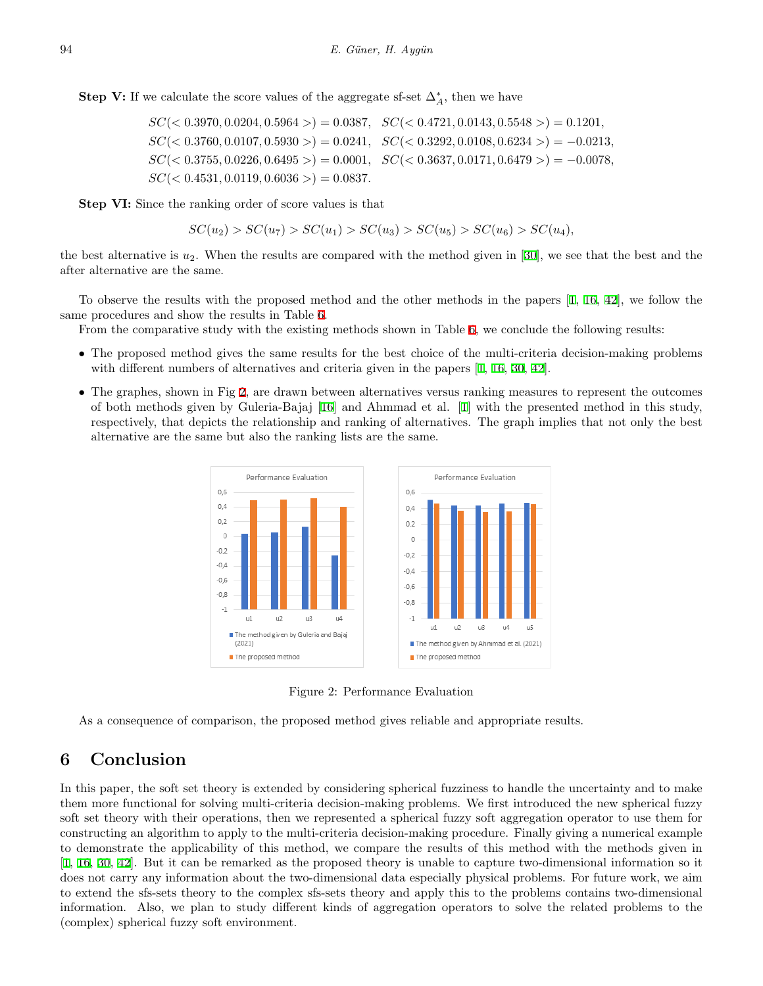**Step V:** If we calculate the score values of the aggregate sf-set  $\Delta_A^*$ , then we have

*SC*(*<* 0*.*3970*,* 0*.*0204*,* 0*.*5964 *>*) = 0*.*0387*, SC*(*<* 0*.*4721*,* 0*.*0143*,* 0*.*5548 *>*) = 0*.*1201*, SC*(*<* 0*.*3760*,* 0*.*0107*,* 0*.*5930 *>*) = 0*.*0241*, SC*(*<* 0*.*3292*,* 0*.*0108*,* 0*.*6234 *>*) = *−*0*.*0213*, SC*(*<* 0*.*3755*,* 0*.*0226*,* 0*.*6495 *>*) = 0*.*0001*, SC*(*<* 0*.*3637*,* 0*.*0171*,* 0*.*6479 *>*) = *−*0*.*0078*,*  $SC(< 0.4531, 0.0119, 0.6036 >)=0.0837.$ 

**Step VI:** Since the ranking order of score values is that

$$
SC(u_2) > SC(u_7) > SC(u_1) > SC(u_3) > SC(u_5) > SC(u_6) > SC(u_4),
$$

the best alternative is  $u_2$ . When the results are compared with the method given in [[30\]](#page-14-13), we see that the best and the after alternative are the same.

To observe the results with the proposed method and the other methods in the papers [[1](#page-13-17), [16,](#page-13-16) [42](#page-14-12)], we follow the same procedures and show the results in Table [6](#page-12-0).

From the comparative study with the existing methods shown in Table [6,](#page-12-0) we conclude the following results:

- The proposed method gives the same results for the best choice of the multi-criteria decision-making problems with different numbers of alternatives and criteria given in the papers  $[1, 16, 30, 42]$  $[1, 16, 30, 42]$  $[1, 16, 30, 42]$  $[1, 16, 30, 42]$  $[1, 16, 30, 42]$  $[1, 16, 30, 42]$  $[1, 16, 30, 42]$  $[1, 16, 30, 42]$ .
- The graphes, shown in Fig [2](#page-11-0), are drawn between alternatives versus ranking measures to represent the outcomes of both methods given by Guleria-Bajaj [[16\]](#page-13-16) and Ahmmad et al. [\[1](#page-13-17)] with the presented method in this study, respectively, that depicts the relationship and ranking of alternatives. The graph implies that not only the best alternative are the same but also the ranking lists are the same.



<span id="page-11-0"></span>Figure 2: Performance Evaluation

As a consequence of comparison, the proposed method gives reliable and appropriate results.

# **6 Conclusion**

In this paper, the soft set theory is extended by considering spherical fuzziness to handle the uncertainty and to make them more functional for solving multi-criteria decision-making problems. We first introduced the new spherical fuzzy soft set theory with their operations, then we represented a spherical fuzzy soft aggregation operator to use them for constructing an algorithm to apply to the multi-criteria decision-making procedure. Finally giving a numerical example to demonstrate the applicability of this method, we compare the results of this method with the methods given in [[1,](#page-13-17) [16](#page-13-16), [30](#page-14-13), [42\]](#page-14-12). But it can be remarked as the proposed theory is unable to capture two-dimensional information so it does not carry any information about the two-dimensional data especially physical problems. For future work, we aim to extend the sfs-sets theory to the complex sfs-sets theory and apply this to the problems contains two-dimensional information. Also, we plan to study different kinds of aggregation operators to solve the related problems to the (complex) spherical fuzzy soft environment.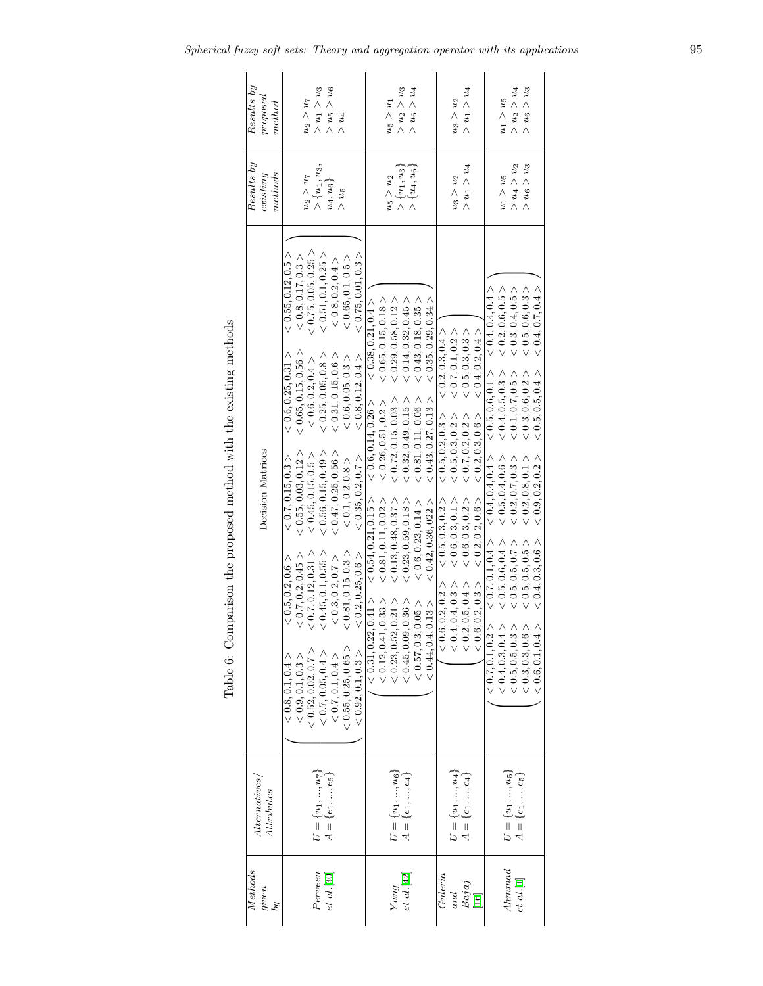| Results by<br>proposed<br>$_{method}$    | $>$ $u_1 > u_3$<br>$m<\alpha^2<\alpha$<br>$u_2 > u_7$<br>$> u_4$                                                                                                                                                                                                                                                                                                                                                                                                                                                                                                                                                                                                                                                                                                                                                                                                                           | $>$ $u_2 > u_3$<br>$> u_6 > u_4$<br>$u_5 > u_1$                                                                                                                                                                                                                                                                                                                                                                                                                                                                                                                                                                             | $> u_1 > u_4$<br>$u_3 > u_2$                                                                                                                                                                                                                                                                                                         | $> u_6 > u_3$<br>$> u_2 > u_4$<br>$u_1>u_5$                                                                                                                                                                                                                                                                                                                                                                                                                                                                               |
|------------------------------------------|--------------------------------------------------------------------------------------------------------------------------------------------------------------------------------------------------------------------------------------------------------------------------------------------------------------------------------------------------------------------------------------------------------------------------------------------------------------------------------------------------------------------------------------------------------------------------------------------------------------------------------------------------------------------------------------------------------------------------------------------------------------------------------------------------------------------------------------------------------------------------------------------|-----------------------------------------------------------------------------------------------------------------------------------------------------------------------------------------------------------------------------------------------------------------------------------------------------------------------------------------------------------------------------------------------------------------------------------------------------------------------------------------------------------------------------------------------------------------------------------------------------------------------------|--------------------------------------------------------------------------------------------------------------------------------------------------------------------------------------------------------------------------------------------------------------------------------------------------------------------------------------|---------------------------------------------------------------------------------------------------------------------------------------------------------------------------------------------------------------------------------------------------------------------------------------------------------------------------------------------------------------------------------------------------------------------------------------------------------------------------------------------------------------------------|
| Results by<br>methods<br>existsing       | $> \{u_1, u_3,$<br>$u_2 > u_7$<br>$u_4, u_6$<br>$> u_5$                                                                                                                                                                                                                                                                                                                                                                                                                                                                                                                                                                                                                                                                                                                                                                                                                                    | $\{u_4, u_6\}$<br>$\{u_1, u_3\}$<br>$u_5 > u_2$                                                                                                                                                                                                                                                                                                                                                                                                                                                                                                                                                                             | $> u_1 > u_4$<br>$u_3 > u_2$                                                                                                                                                                                                                                                                                                         | $>$ $u_4 > u_2$<br>$> u_6 > u_3$<br>$u_1 > u_5$                                                                                                                                                                                                                                                                                                                                                                                                                                                                           |
| Decision Matrices                        | (0.75, 0.05, 0.25)<br>< 0.55, 0.12, 0.5 ><br>< 0.51, 0.1, 0.25 ><br>< 0.75, 0.01, 0.3><br>< 0.8, 0.17, 0.3 ><br>< 0.65, 0.1, 0.5 ><br>< 0.8, 0.2, 0.4<br>< 0.65, 0.15, 0.56<br>< 0.25, 0.05, 0.8<br>< 0.31, 0.15, 0.6<br>< 0.6, 0.25, 0.31 ><br>< 0.8, 0.12, 0.4 ><br>< 0.6, 0.05, 0.3<br>< 0.6, 0.2, 0.4 ><br>< 0.55, 0.03, 0.12 ><br>< 0.56, 0.15, 0.49<br>< 0.47, 0.25, 0.56<br>< 0.45, 0.15, 0.5 ><br>< 0.35, 0.2, 0.7 ><br>< 0.7, 0.15, 0.3<br>< 0.1, 0.2, 0.8 ><br>0.7, 0.12, 0.31 ><br>$0.45, 0.1, 0.55$ ><br>0.81, 0.15, 0.3<br>< 0.7, 0.2, 0.45 ><br>$< 0.2, 0.25, 0.6$ $>$<br>< 0.5, 0.2, 0.6 ><br>$< 0.3, 0.2, 0.7$ $>$<br>: 0.55, 0.25, 0.65<br>$\begin{array}{l} <\  \  \, 0.9,0.1,0.3>\\ <\  \  \, 0.52,0.02,0.7>\\ <\  \  \, 0.7,0.05,0.4>\\ <\  \  \, 0.7,0.1,0.4>\\ <\  \  \, 0.7,0.1,0.4>\\ <\  \  \, 0.7,0.1,0.4>\\ \end{array}$<br>< 0.92, 0.1, 0.3<br>(0.8, 0.1, 0.4) | < 0.65, 0.15, 0.18<br>< 0.35, 0.29, 0.34 ><br>< 0.43, 0.18, 0.35 ><br>< 0.38, 0.21, 0.4<br>< 0.29, 0.58, 0.12<br>$< 0.14, 0.32, 0.45$ ><br>< 0.32, 0.49, 0.15 ><br>< 0.81, 0.11, 0.06 ><br>< 0.43, 0.27, 0.13 ><br>< 0.72, 0.15, 0.03 ><br>< 0.26, 0.51, 0.2 ><br>< 0.6, 0.14, 0.26<br>< 0.54, 0.21, 0.15 ><br>< 0.23, 0.59, 0.18<br>$< 0.81, 0.11, 0.02$ $>$<br>< 0.13, 0.48, 0.37 ><br>< 0.42, 0.36, 022 ><br>< 0.6, 0.23, 0.14 ><br>$\begin{array}{l} <0.12, 0.41, 0.33>\\ <0.23, 0.52, 0.21>\\ <0.45, 0.09, 0.36>\\ <0.57, 0.33, 0.05>\\ <0.57, 0.3, 0.05> \end{array}$<br>0.41 ><br>< 0.44, 0.4, 0.13<br>< 0.31, 0.22, | < 0.2, 0.3, 0.4 ><br>< 0.4, 0.2, 0.4 ><br>$< 0.7, 0.1, 0.2$ $>$<br>< 0.5, 0.3, 0.3<br>< 0.2, 0.3, 0.6 ><br>< 0.5, 0.2, 0.3 ><br>< 0.7, 0.2, 0.2 ><br>0.5, 0.3, 0.2 ><br>< 0.2, 0.2, 0.6 ><br>< 0.6, 0.3, 0.2 ><br>< 0.6, 0.3, 0.1 ><br>< 0.5, 0.3, 0.2 ><br>$<0.4, 0.4, 0.3>\\ <0.2, 0.5, 0.4>\\ <0.6, 0.2, 0.3>$<br>< 0.6, 0.2, 0.2 | $< 0.2, 0.6, 0.5 >$<br>$< 0.3, 0.4, 0.5 >$<br>< 0.4, 0.4, 0.4 ><br>< 0.4, 0.7, 0.4 ><br>< 0.5, 0.6, 0.3<br>< 0.5, 0.6, 0.1 ><br>0.5, 0.5, 0.4 ><br>< 0.4, 0.5, 0.3 ><br>0.1, 0.7, 0.5<br>0.3, 0.6, 0.2<br>< 0.4, 0.4, 0.4 ><br>< 0.5, 0.4, 0.6 ><br>< 0.9, 0.2, 0.2 ><br>< 0.2, 0.7, 0.3 ><br>< 0.2, 0.8, 0.1<br>< 0.7, 0.1, 0.4 ><br>< 0.5, 0.6, 0.4 ><br>< 0.4, 0.3, 0.6 ><br>< 0.5, 0.5, 0.7 ><br>< 0.5, 0.5, 0.5 ><br>< 0.7, 0.1, 0.2 ><br>$<0.4, 0.3, 0.4>\\ <0.5, 0.5, 0.3>\\ <0.3, 0.3, 0.6>$<br>< 0.6, 0.1, 0.4 > |
| Alternatives/<br><b>Attributes</b>       | $U = \{u_1, , u_7\}$<br>$A = \{e_1, , e_5\}$                                                                                                                                                                                                                                                                                                                                                                                                                                                                                                                                                                                                                                                                                                                                                                                                                                               | $U = \{u_1, , u_6\}$<br>$A = \{e_1, , e_4\}$                                                                                                                                                                                                                                                                                                                                                                                                                                                                                                                                                                                | $U = \{u_1, , u_4\}$<br>$A = \{e_1, , e_4\}$                                                                                                                                                                                                                                                                                         | $U = \{u_1, , u_5\}$<br>$A = \{e_1, , e_5\}$                                                                                                                                                                                                                                                                                                                                                                                                                                                                              |
| <b>Methods</b><br>given<br>$\tilde{p}_q$ | Perveen<br>$et$ al. $[30]$                                                                                                                                                                                                                                                                                                                                                                                                                                                                                                                                                                                                                                                                                                                                                                                                                                                                 | et al.[42]<br>Yang                                                                                                                                                                                                                                                                                                                                                                                                                                                                                                                                                                                                          | Guleria<br>Bajaj<br>[16]<br>and                                                                                                                                                                                                                                                                                                      | Ahmmad<br>et al.[1]                                                                                                                                                                                                                                                                                                                                                                                                                                                                                                       |

<span id="page-12-0"></span>Table 6: Comparison the proposed method with the existing methods Table 6: Comparison the proposed method with the existing methods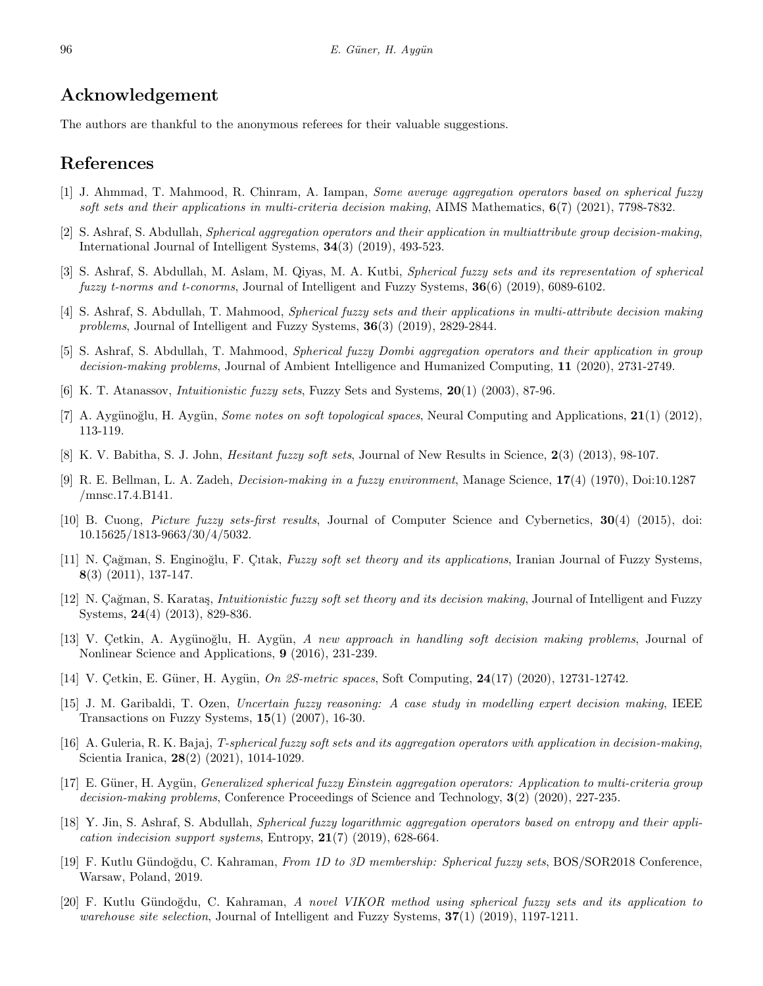# **Acknowledgement**

The authors are thankful to the anonymous referees for their valuable suggestions.

## **References**

- <span id="page-13-17"></span>[1] J. Ahmmad, T. Mahmood, R. Chinram, A. Iampan, *Some average aggregation operators based on spherical fuzzy soft sets and their applications in multi-criteria decision making*, AIMS Mathematics, **6**(7) (2021), 7798-7832.
- <span id="page-13-11"></span>[2] S. Ashraf, S. Abdullah, *Spherical aggregation operators and their application in multiattribute group decision-making*, International Journal of Intelligent Systems, **34**(3) (2019), 493-523.
- <span id="page-13-19"></span>[3] S. Ashraf, S. Abdullah, M. Aslam, M. Qiyas, M. A. Kutbi, *Spherical fuzzy sets and its representation of spherical fuzzy t-norms and t-conorms*, Journal of Intelligent and Fuzzy Systems, **36**(6) (2019), 6089-6102.
- <span id="page-13-18"></span>[4] S. Ashraf, S. Abdullah, T. Mahmood, *Spherical fuzzy sets and their applications in multi-attribute decision making problems*, Journal of Intelligent and Fuzzy Systems, **36**(3) (2019), 2829-2844.
- <span id="page-13-12"></span>[5] S. Ashraf, S. Abdullah, T. Mahmood, *Spherical fuzzy Dombi aggregation operators and their application in group decision-making problems*, Journal of Ambient Intelligence and Humanized Computing, **11** (2020), 2731-2749.
- <span id="page-13-0"></span>[6] K. T. Atanassov, *Intuitionistic fuzzy sets*, Fuzzy Sets and Systems, **20**(1) (2003), 87-96.
- <span id="page-13-4"></span>[7] A. Aygünoğlu, H. Aygün, *Some notes on soft topological spaces*, Neural Computing and Applications, **21**(1) (2012), 113-119.
- <span id="page-13-9"></span>[8] K. V. Babitha, S. J. John, *Hesitant fuzzy soft sets*, Journal of New Results in Science, **2**(3) (2013), 98-107.
- <span id="page-13-10"></span>[9] R. E. Bellman, L. A. Zadeh, *Decision-making in a fuzzy environment*, Manage Science, **17**(4) (1970), Doi:10.1287 /mnsc.17.4.B141.
- <span id="page-13-2"></span>[10] B. Cuong, *Picture fuzzy sets-first results*, Journal of Computer Science and Cybernetics, **30**(4) (2015), doi: 10.15625/1813-9663/30/4/5032.
- <span id="page-13-7"></span>[11] N. Çağman, S. Enginoğlu, F. Çıtak, *Fuzzy soft set theory and its applications*, Iranian Journal of Fuzzy Systems, **8**(3) (2011), 137-147.
- <span id="page-13-8"></span>[12] N. Cağman, S. Karataş, *Intuitionistic fuzzy soft set theory and its decision making*, Journal of Intelligent and Fuzzy Systems, **24**(4) (2013), 829-836.
- <span id="page-13-5"></span>[13] V. Cetkin, A. Aygünoğlu, H. Aygün, *A new approach in handling soft decision making problems*, Journal of Nonlinear Science and Applications, **9** (2016), 231-239.
- <span id="page-13-6"></span>[14] V. Çetkin, E. Güner, H. Aygün, *On 2S-metric spaces*, Soft Computing, **24**(17) (2020), 12731-12742.
- <span id="page-13-1"></span>[15] J. M. Garibaldi, T. Ozen, *Uncertain fuzzy reasoning: A case study in modelling expert decision making*, IEEE Transactions on Fuzzy Systems, **15**(1) (2007), 16-30.
- <span id="page-13-16"></span>[16] A. Guleria, R. K. Bajaj, *T-spherical fuzzy soft sets and its aggregation operators with application in decision-making*, Scientia Iranica, **28**(2) (2021), 1014-1029.
- <span id="page-13-13"></span>[17] E. Güner, H. Aygün, *Generalized spherical fuzzy Einstein aggregation operators: Application to multi-criteria group decision-making problems*, Conference Proceedings of Science and Technology, **3**(2) (2020), 227-235.
- <span id="page-13-14"></span>[18] Y. Jin, S. Ashraf, S. Abdullah, *Spherical fuzzy logarithmic aggregation operators based on entropy and their application indecision support systems*, Entropy, **21**(7) (2019), 628-664.
- <span id="page-13-3"></span>[19] F. Kutlu G¨undo˘gdu, C. Kahraman, *From 1D to 3D membership: Spherical fuzzy sets*, BOS/SOR2018 Conference, Warsaw, Poland, 2019.
- <span id="page-13-15"></span>[20] F. Kutlu G¨undo˘gdu, C. Kahraman, *A novel VIKOR method using spherical fuzzy sets and its application to warehouse site selection*, Journal of Intelligent and Fuzzy Systems, **37**(1) (2019), 1197-1211.